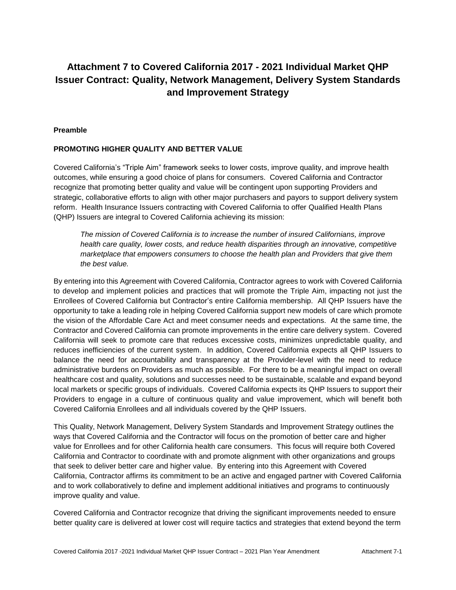# **Attachment 7 to Covered California 2017 - 2021 Individual Market QHP Issuer Contract: Quality, Network Management, Delivery System Standards and Improvement Strategy**

#### **Preamble**

#### **PROMOTING HIGHER QUALITY AND BETTER VALUE**

Covered California's "Triple Aim" framework seeks to lower costs, improve quality, and improve health outcomes, while ensuring a good choice of plans for consumers. Covered California and Contractor recognize that promoting better quality and value will be contingent upon supporting Providers and strategic, collaborative efforts to align with other major purchasers and payors to support delivery system reform. Health Insurance Issuers contracting with Covered California to offer Qualified Health Plans (QHP) Issuers are integral to Covered California achieving its mission:

*The mission of Covered California is to increase the number of insured Californians, improve health care quality, lower costs, and reduce health disparities through an innovative, competitive marketplace that empowers consumers to choose the health plan and Providers that give them the best value.*

By entering into this Agreement with Covered California, Contractor agrees to work with Covered California to develop and implement policies and practices that will promote the Triple Aim, impacting not just the Enrollees of Covered California but Contractor's entire California membership. All QHP Issuers have the opportunity to take a leading role in helping Covered California support new models of care which promote the vision of the Affordable Care Act and meet consumer needs and expectations. At the same time, the Contractor and Covered California can promote improvements in the entire care delivery system. Covered California will seek to promote care that reduces excessive costs, minimizes unpredictable quality, and reduces inefficiencies of the current system. In addition, Covered California expects all QHP Issuers to balance the need for accountability and transparency at the Provider-level with the need to reduce administrative burdens on Providers as much as possible. For there to be a meaningful impact on overall healthcare cost and quality, solutions and successes need to be sustainable, scalable and expand beyond local markets or specific groups of individuals. Covered California expects its QHP Issuers to support their Providers to engage in a culture of continuous quality and value improvement, which will benefit both Covered California Enrollees and all individuals covered by the QHP Issuers.

This Quality, Network Management, Delivery System Standards and Improvement Strategy outlines the ways that Covered California and the Contractor will focus on the promotion of better care and higher value for Enrollees and for other California health care consumers. This focus will require both Covered California and Contractor to coordinate with and promote alignment with other organizations and groups that seek to deliver better care and higher value. By entering into this Agreement with Covered California, Contractor affirms its commitment to be an active and engaged partner with Covered California and to work collaboratively to define and implement additional initiatives and programs to continuously improve quality and value.

Covered California and Contractor recognize that driving the significant improvements needed to ensure better quality care is delivered at lower cost will require tactics and strategies that extend beyond the term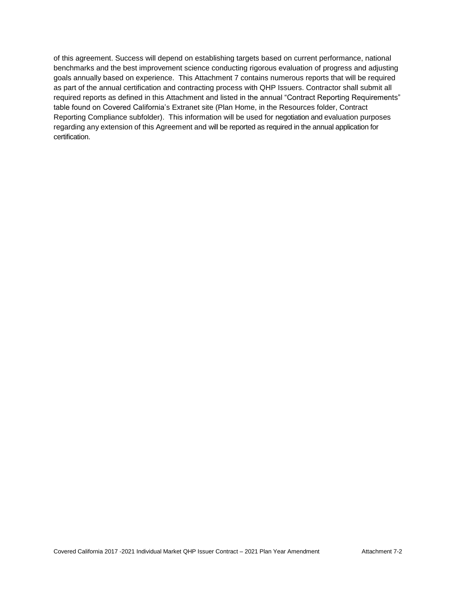of this agreement. Success will depend on establishing targets based on current performance, national benchmarks and the best improvement science conducting rigorous evaluation of progress and adjusting goals annually based on experience. This Attachment 7 contains numerous reports that will be required as part of the annual certification and contracting process with QHP Issuers. Contractor shall submit all required reports as defined in this Attachment and listed in the annual "Contract Reporting Requirements" table found on Covered California's Extranet site (Plan Home, in the Resources folder, Contract Reporting Compliance subfolder). This information will be used for negotiation and evaluation purposes regarding any extension of this Agreement and will be reported as required in the annual application for certification.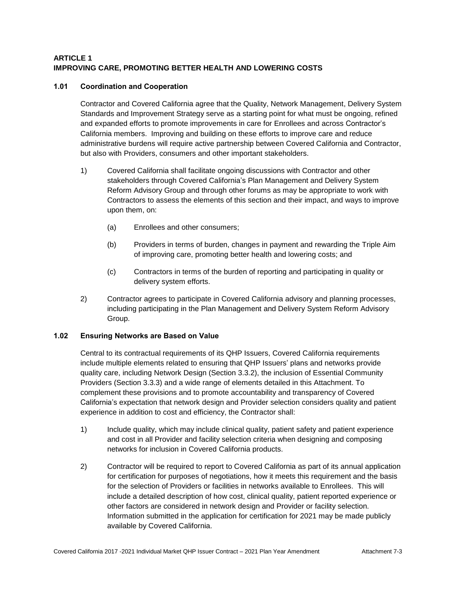# **ARTICLE 1 IMPROVING CARE, PROMOTING BETTER HEALTH AND LOWERING COSTS**

## **1.01 Coordination and Cooperation**

Contractor and Covered California agree that the Quality, Network Management, Delivery System Standards and Improvement Strategy serve as a starting point for what must be ongoing, refined and expanded efforts to promote improvements in care for Enrollees and across Contractor's California members. Improving and building on these efforts to improve care and reduce administrative burdens will require active partnership between Covered California and Contractor, but also with Providers, consumers and other important stakeholders.

- 1) Covered California shall facilitate ongoing discussions with Contractor and other stakeholders through Covered California's Plan Management and Delivery System Reform Advisory Group and through other forums as may be appropriate to work with Contractors to assess the elements of this section and their impact, and ways to improve upon them, on:
	- (a) Enrollees and other consumers;
	- (b) Providers in terms of burden, changes in payment and rewarding the Triple Aim of improving care, promoting better health and lowering costs; and
	- (c) Contractors in terms of the burden of reporting and participating in quality or delivery system efforts.
- 2) Contractor agrees to participate in Covered California advisory and planning processes, including participating in the Plan Management and Delivery System Reform Advisory Group.

#### **1.02 Ensuring Networks are Based on Value**

Central to its contractual requirements of its QHP Issuers, Covered California requirements include multiple elements related to ensuring that QHP Issuers' plans and networks provide quality care, including Network Design (Section 3.3.2), the inclusion of Essential Community Providers (Section 3.3.3) and a wide range of elements detailed in this Attachment. To complement these provisions and to promote accountability and transparency of Covered California's expectation that network design and Provider selection considers quality and patient experience in addition to cost and efficiency, the Contractor shall:

- 1) Include quality, which may include clinical quality, patient safety and patient experience and cost in all Provider and facility selection criteria when designing and composing networks for inclusion in Covered California products.
- 2) Contractor will be required to report to Covered California as part of its annual application for certification for purposes of negotiations, how it meets this requirement and the basis for the selection of Providers or facilities in networks available to Enrollees. This will include a detailed description of how cost, clinical quality, patient reported experience or other factors are considered in network design and Provider or facility selection. Information submitted in the application for certification for 2021 may be made publicly available by Covered California.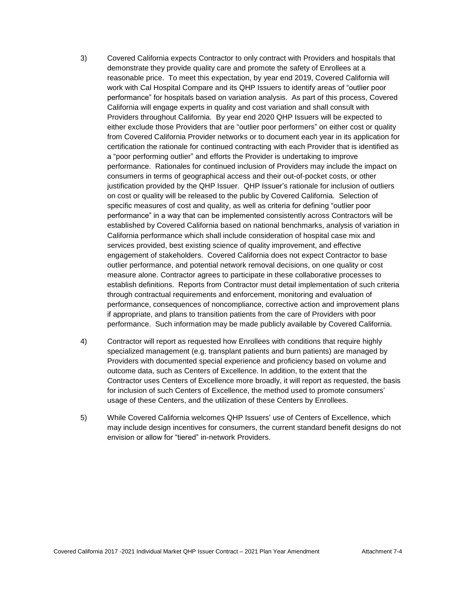- 3) Covered California expects Contractor to only contract with Providers and hospitals that demonstrate they provide quality care and promote the safety of Enrollees at a reasonable price. To meet this expectation, by year end 2019, Covered California will work with Cal Hospital Compare and its QHP Issuers to identify areas of "outlier poor performance" for hospitals based on variation analysis. As part of this process, Covered California will engage experts in quality and cost variation and shall consult with Providers throughout California. By year end 2020 QHP Issuers will be expected to either exclude those Providers that are "outlier poor performers" on either cost or quality from Covered California Provider networks or to document each year in its application for certification the rationale for continued contracting with each Provider that is identified as a "poor performing outlier" and efforts the Provider is undertaking to improve performance. Rationales for continued inclusion of Providers may include the impact on consumers in terms of geographical access and their out-of-pocket costs, or other justification provided by the QHP Issuer. QHP Issuer's rationale for inclusion of outliers on cost or quality will be released to the public by Covered California. Selection of specific measures of cost and quality, as well as criteria for defining "outlier poor performance" in a way that can be implemented consistently across Contractors will be established by Covered California based on national benchmarks, analysis of variation in California performance which shall include consideration of hospital case mix and services provided, best existing science of quality improvement, and effective engagement of stakeholders. Covered California does not expect Contractor to base outlier performance, and potential network removal decisions, on one quality or cost measure alone. Contractor agrees to participate in these collaborative processes to establish definitions. Reports from Contractor must detail implementation of such criteria through contractual requirements and enforcement, monitoring and evaluation of performance, consequences of noncompliance, corrective action and improvement plans if appropriate, and plans to transition patients from the care of Providers with poor performance. Such information may be made publicly available by Covered California.
- 4) Contractor will report as requested how Enrollees with conditions that require highly specialized management (e.g. transplant patients and burn patients) are managed by Providers with documented special experience and proficiency based on volume and outcome data, such as Centers of Excellence. In addition, to the extent that the Contractor uses Centers of Excellence more broadly, it will report as requested, the basis for inclusion of such Centers of Excellence, the method used to promote consumers' usage of these Centers, and the utilization of these Centers by Enrollees.
- 5) While Covered California welcomes QHP Issuers' use of Centers of Excellence, which may include design incentives for consumers, the current standard benefit designs do not envision or allow for "tiered" in-network Providers.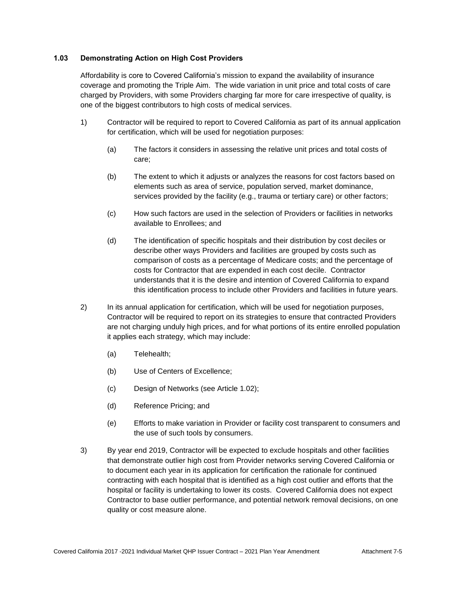## **1.03 Demonstrating Action on High Cost Providers**

Affordability is core to Covered California's mission to expand the availability of insurance coverage and promoting the Triple Aim. The wide variation in unit price and total costs of care charged by Providers, with some Providers charging far more for care irrespective of quality, is one of the biggest contributors to high costs of medical services.

- 1) Contractor will be required to report to Covered California as part of its annual application for certification, which will be used for negotiation purposes:
	- (a) The factors it considers in assessing the relative unit prices and total costs of care;
	- (b) The extent to which it adjusts or analyzes the reasons for cost factors based on elements such as area of service, population served, market dominance, services provided by the facility (e.g., trauma or tertiary care) or other factors;
	- (c) How such factors are used in the selection of Providers or facilities in networks available to Enrollees; and
	- (d) The identification of specific hospitals and their distribution by cost deciles or describe other ways Providers and facilities are grouped by costs such as comparison of costs as a percentage of Medicare costs; and the percentage of costs for Contractor that are expended in each cost decile. Contractor understands that it is the desire and intention of Covered California to expand this identification process to include other Providers and facilities in future years.
- 2) In its annual application for certification, which will be used for negotiation purposes, Contractor will be required to report on its strategies to ensure that contracted Providers are not charging unduly high prices, and for what portions of its entire enrolled population it applies each strategy, which may include:
	- (a) Telehealth;
	- (b) Use of Centers of Excellence;
	- (c) Design of Networks (see Article 1.02);
	- (d) Reference Pricing; and
	- (e) Efforts to make variation in Provider or facility cost transparent to consumers and the use of such tools by consumers.
- 3) By year end 2019, Contractor will be expected to exclude hospitals and other facilities that demonstrate outlier high cost from Provider networks serving Covered California or to document each year in its application for certification the rationale for continued contracting with each hospital that is identified as a high cost outlier and efforts that the hospital or facility is undertaking to lower its costs. Covered California does not expect Contractor to base outlier performance, and potential network removal decisions, on one quality or cost measure alone.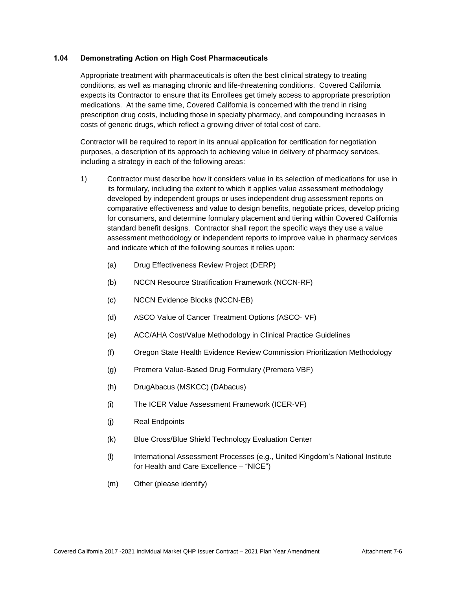#### **1.04 Demonstrating Action on High Cost Pharmaceuticals**

Appropriate treatment with pharmaceuticals is often the best clinical strategy to treating conditions, as well as managing chronic and life-threatening conditions. Covered California expects its Contractor to ensure that its Enrollees get timely access to appropriate prescription medications. At the same time, Covered California is concerned with the trend in rising prescription drug costs, including those in specialty pharmacy, and compounding increases in costs of generic drugs, which reflect a growing driver of total cost of care.

Contractor will be required to report in its annual application for certification for negotiation purposes, a description of its approach to achieving value in delivery of pharmacy services, including a strategy in each of the following areas:

- 1) Contractor must describe how it considers value in its selection of medications for use in its formulary, including the extent to which it applies value assessment methodology developed by independent groups or uses independent drug assessment reports on comparative effectiveness and value to design benefits, negotiate prices, develop pricing for consumers, and determine formulary placement and tiering within Covered California standard benefit designs. Contractor shall report the specific ways they use a value assessment methodology or independent reports to improve value in pharmacy services and indicate which of the following sources it relies upon:
	- (a) Drug Effectiveness Review Project (DERP)
	- (b) NCCN Resource Stratification Framework (NCCN‐RF)
	- (c) NCCN Evidence Blocks (NCCN‐EB)
	- (d) ASCO Value of Cancer Treatment Options (ASCO‐ VF)
	- (e) ACC/AHA Cost/Value Methodology in Clinical Practice Guidelines
	- (f) Oregon State Health Evidence Review Commission Prioritization Methodology
	- (g) Premera Value‐Based Drug Formulary (Premera VBF)
	- (h) DrugAbacus (MSKCC) (DAbacus)
	- (i) The ICER Value Assessment Framework (ICER‐VF)
	- (j) Real Endpoints
	- (k) Blue Cross/Blue Shield Technology Evaluation Center
	- (l) International Assessment Processes (e.g., United Kingdom's National Institute for Health and Care Excellence – "NICE")
	- (m) Other (please identify)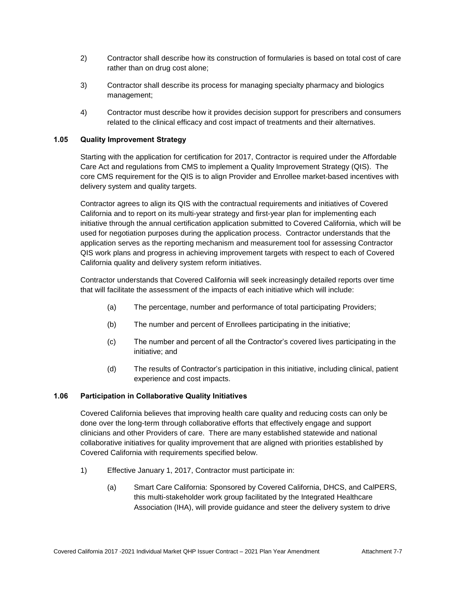- 2) Contractor shall describe how its construction of formularies is based on total cost of care rather than on drug cost alone;
- 3) Contractor shall describe its process for managing specialty pharmacy and biologics management;
- 4) Contractor must describe how it provides decision support for prescribers and consumers related to the clinical efficacy and cost impact of treatments and their alternatives.

# **1.05 Quality Improvement Strategy**

Starting with the application for certification for 2017, Contractor is required under the Affordable Care Act and regulations from CMS to implement a Quality Improvement Strategy (QIS). The core CMS requirement for the QIS is to align Provider and Enrollee market-based incentives with delivery system and quality targets.

Contractor agrees to align its QIS with the contractual requirements and initiatives of Covered California and to report on its multi-year strategy and first-year plan for implementing each initiative through the annual certification application submitted to Covered California, which will be used for negotiation purposes during the application process. Contractor understands that the application serves as the reporting mechanism and measurement tool for assessing Contractor QIS work plans and progress in achieving improvement targets with respect to each of Covered California quality and delivery system reform initiatives.

Contractor understands that Covered California will seek increasingly detailed reports over time that will facilitate the assessment of the impacts of each initiative which will include:

- (a) The percentage, number and performance of total participating Providers;
- (b) The number and percent of Enrollees participating in the initiative;
- (c) The number and percent of all the Contractor's covered lives participating in the initiative; and
- (d) The results of Contractor's participation in this initiative, including clinical, patient experience and cost impacts.

#### **1.06 Participation in Collaborative Quality Initiatives**

Covered California believes that improving health care quality and reducing costs can only be done over the long-term through collaborative efforts that effectively engage and support clinicians and other Providers of care. There are many established statewide and national collaborative initiatives for quality improvement that are aligned with priorities established by Covered California with requirements specified below.

- 1) Effective January 1, 2017, Contractor must participate in:
	- (a) Smart Care California: Sponsored by Covered California, DHCS, and CalPERS, this multi-stakeholder work group facilitated by the Integrated Healthcare Association (IHA), will provide guidance and steer the delivery system to drive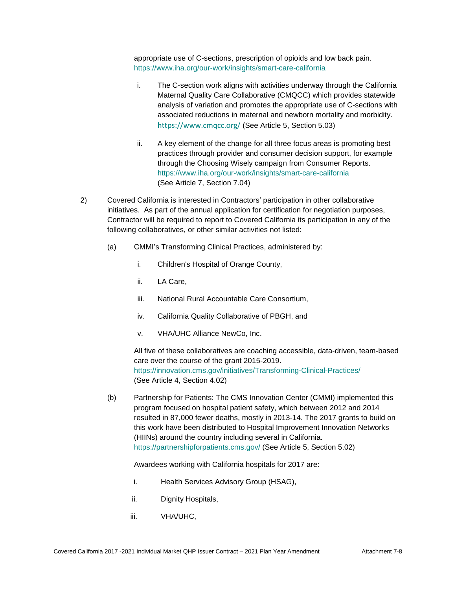appropriate use of C-sections, prescription of opioids and low back pain. <https://www.iha.org/our-work/insights/smart-care-california>

- i. The C-section work aligns with activities underway through the California Maternal Quality Care Collaborative (CMQCC) which provides statewide analysis of variation and promotes the appropriate use of C-sections with associated reductions in maternal and newborn mortality and morbidity. <https://www.cmqcc.org/> (See Article 5, Section 5.03)
- ii. A key element of the change for all three focus areas is promoting best practices through provider and consumer decision support, for example through the Choosing Wisely campaign from Consumer Reports. [https://www.iha.org/our-work/insights/smart-care-california](https://gcc01.safelinks.protection.outlook.com/?url=https%3A%2F%2Fwww.iha.org%2Four-work%2Finsights%2Fsmart-care-california&data=02%7C01%7CLisa.Schenck%40covered.ca.gov%7C8ba96e6deb3d4505e27708d6be105606%7C466d2f7db1424b9c8cddeba5537a0f27%7C0%7C0%7C636905374708798426&sdata=OtXQW7PKefhzwOUQcyFTyh85xBruzs8OVyE49%2BV2yUs%3D&reserved=0) (See Article 7, Section 7.04)
- 2) Covered California is interested in Contractors' participation in other collaborative initiatives. As part of the annual application for certification for negotiation purposes, Contractor will be required to report to Covered California its participation in any of the following collaboratives, or other similar activities not listed:
	- (a) CMMI's Transforming Clinical Practices, administered by:
		- i. Children's Hospital of Orange County,
		- ii. LA Care,
		- iii. National Rural Accountable Care Consortium,
		- iv. California Quality Collaborative of PBGH, and
		- v. VHA/UHC Alliance NewCo, Inc.

All five of these collaboratives are coaching accessible, data-driven, team-based care over the course of the grant 2015-2019. <https://innovation.cms.gov/initiatives/Transforming-Clinical-Practices/> (See Article 4, Section 4.02)

(b) Partnership for Patients: The CMS Innovation Center (CMMI) implemented this program focused on hospital patient safety, which between 2012 and 2014 resulted in 87,000 fewer deaths, mostly in 2013-14. The 2017 grants to build on this work have been distributed to Hospital Improvement Innovation Networks (HIINs) around the country including several in California. <https://partnershipforpatients.cms.gov/> (See Article 5, Section 5.02)

#### Awardees working with California hospitals for 2017 are:

- i. Health Services Advisory Group (HSAG),
- ii. Dignity Hospitals,
- iii. VHA/UHC,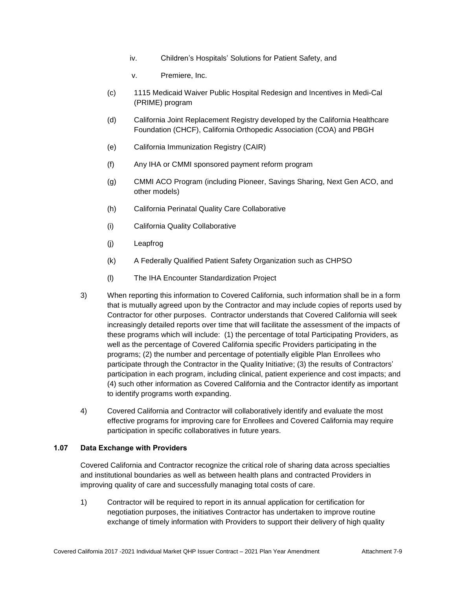- iv. Children's Hospitals' Solutions for Patient Safety, and
- v. Premiere, Inc.
- (c) 1115 Medicaid Waiver Public Hospital Redesign and Incentives in Medi-Cal (PRIME) program
- (d) California Joint Replacement Registry developed by the California Healthcare Foundation (CHCF), California Orthopedic Association (COA) and PBGH
- (e) California Immunization Registry (CAIR)
- (f) Any IHA or CMMI sponsored payment reform program
- (g) CMMI ACO Program (including Pioneer, Savings Sharing, Next Gen ACO, and other models)
- (h) California Perinatal Quality Care Collaborative
- (i) California Quality Collaborative
- (j) Leapfrog
- (k) A Federally Qualified Patient Safety Organization such as CHPSO
- (l) The IHA Encounter Standardization Project
- 3) When reporting this information to Covered California, such information shall be in a form that is mutually agreed upon by the Contractor and may include copies of reports used by Contractor for other purposes. Contractor understands that Covered California will seek increasingly detailed reports over time that will facilitate the assessment of the impacts of these programs which will include: (1) the percentage of total Participating Providers, as well as the percentage of Covered California specific Providers participating in the programs; (2) the number and percentage of potentially eligible Plan Enrollees who participate through the Contractor in the Quality Initiative; (3) the results of Contractors' participation in each program, including clinical, patient experience and cost impacts; and (4) such other information as Covered California and the Contractor identify as important to identify programs worth expanding.
- 4) Covered California and Contractor will collaboratively identify and evaluate the most effective programs for improving care for Enrollees and Covered California may require participation in specific collaboratives in future years.

## **1.07 Data Exchange with Providers**

Covered California and Contractor recognize the critical role of sharing data across specialties and institutional boundaries as well as between health plans and contracted Providers in improving quality of care and successfully managing total costs of care.

1) Contractor will be required to report in its annual application for certification for negotiation purposes, the initiatives Contractor has undertaken to improve routine exchange of timely information with Providers to support their delivery of high quality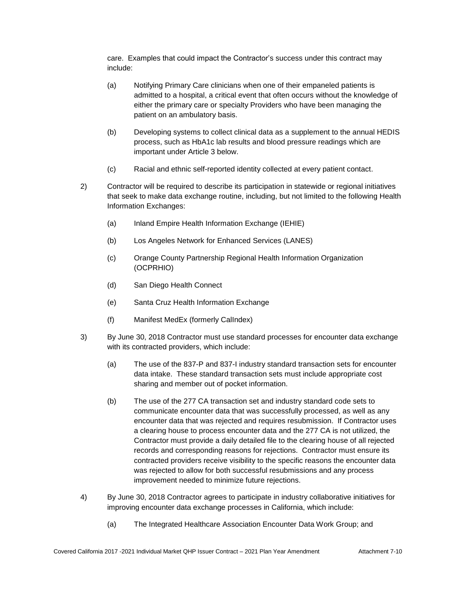care. Examples that could impact the Contractor's success under this contract may include:

- (a) Notifying Primary Care clinicians when one of their empaneled patients is admitted to a hospital, a critical event that often occurs without the knowledge of either the primary care or specialty Providers who have been managing the patient on an ambulatory basis.
- (b) Developing systems to collect clinical data as a supplement to the annual HEDIS process, such as HbA1c lab results and blood pressure readings which are important under Article 3 below.
- (c) Racial and ethnic self-reported identity collected at every patient contact.
- 2) Contractor will be required to describe its participation in statewide or regional initiatives that seek to make data exchange routine, including, but not limited to the following Health Information Exchanges:
	- (a) Inland Empire Health Information Exchange (IEHIE)
	- (b) Los Angeles Network for Enhanced Services (LANES)
	- (c) Orange County Partnership Regional Health Information Organization (OCPRHIO)
	- (d) San Diego Health Connect
	- (e) Santa Cruz Health Information Exchange
	- (f) Manifest MedEx (formerly CalIndex)
- 3) By June 30, 2018 Contractor must use standard processes for encounter data exchange with its contracted providers, which include:
	- (a) The use of the 837-P and 837-I industry standard transaction sets for encounter data intake. These standard transaction sets must include appropriate cost sharing and member out of pocket information.
	- (b) The use of the 277 CA transaction set and industry standard code sets to communicate encounter data that was successfully processed, as well as any encounter data that was rejected and requires resubmission. If Contractor uses a clearing house to process encounter data and the 277 CA is not utilized, the Contractor must provide a daily detailed file to the clearing house of all rejected records and corresponding reasons for rejections. Contractor must ensure its contracted providers receive visibility to the specific reasons the encounter data was rejected to allow for both successful resubmissions and any process improvement needed to minimize future rejections.
- 4) By June 30, 2018 Contractor agrees to participate in industry collaborative initiatives for improving encounter data exchange processes in California, which include:
	- (a) The Integrated Healthcare Association Encounter Data Work Group; and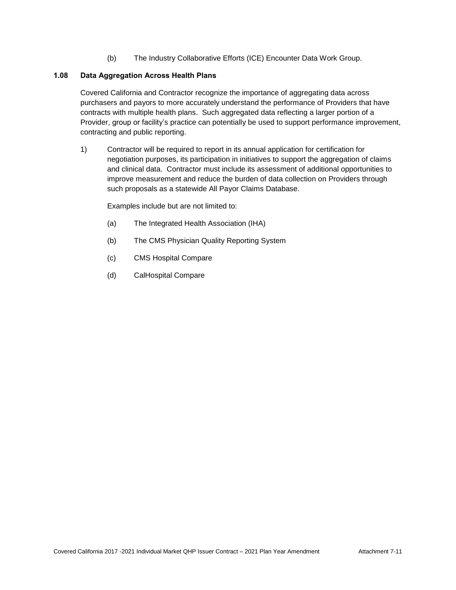(b) The Industry Collaborative Efforts (ICE) Encounter Data Work Group.

# **1.08 Data Aggregation Across Health Plans**

Covered California and Contractor recognize the importance of aggregating data across purchasers and payors to more accurately understand the performance of Providers that have contracts with multiple health plans. Such aggregated data reflecting a larger portion of a Provider, group or facility's practice can potentially be used to support performance improvement, contracting and public reporting.

1) Contractor will be required to report in its annual application for certification for negotiation purposes, its participation in initiatives to support the aggregation of claims and clinical data. Contractor must include its assessment of additional opportunities to improve measurement and reduce the burden of data collection on Providers through such proposals as a statewide All Payor Claims Database.

Examples include but are not limited to:

- (a) The Integrated Health Association (IHA)
- (b) The CMS Physician Quality Reporting System
- (c) CMS Hospital Compare
- (d) CalHospital Compare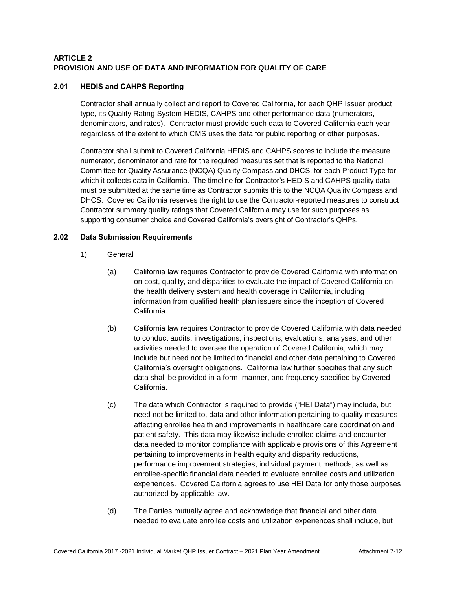# **ARTICLE 2 PROVISION AND USE OF DATA AND INFORMATION FOR QUALITY OF CARE**

# **2.01 HEDIS and CAHPS Reporting**

Contractor shall annually collect and report to Covered California, for each QHP Issuer product type, its Quality Rating System HEDIS, CAHPS and other performance data (numerators, denominators, and rates). Contractor must provide such data to Covered California each year regardless of the extent to which CMS uses the data for public reporting or other purposes.

Contractor shall submit to Covered California HEDIS and CAHPS scores to include the measure numerator, denominator and rate for the required measures set that is reported to the National Committee for Quality Assurance (NCQA) Quality Compass and DHCS, for each Product Type for which it collects data in California. The timeline for Contractor's HEDIS and CAHPS quality data must be submitted at the same time as Contractor submits this to the NCQA Quality Compass and DHCS. Covered California reserves the right to use the Contractor-reported measures to construct Contractor summary quality ratings that Covered California may use for such purposes as supporting consumer choice and Covered California's oversight of Contractor's QHPs.

## **2.02 Data Submission Requirements**

- 1) General
	- (a) California law requires Contractor to provide Covered California with information on cost, quality, and disparities to evaluate the impact of Covered California on the health delivery system and health coverage in California, including information from qualified health plan issuers since the inception of Covered California.
	- (b) California law requires Contractor to provide Covered California with data needed to conduct audits, investigations, inspections, evaluations, analyses, and other activities needed to oversee the operation of Covered California, which may include but need not be limited to financial and other data pertaining to Covered California's oversight obligations. California law further specifies that any such data shall be provided in a form, manner, and frequency specified by Covered California.
	- (c) The data which Contractor is required to provide ("HEI Data") may include, but need not be limited to, data and other information pertaining to quality measures affecting enrollee health and improvements in healthcare care coordination and patient safety. This data may likewise include enrollee claims and encounter data needed to monitor compliance with applicable provisions of this Agreement pertaining to improvements in health equity and disparity reductions, performance improvement strategies, individual payment methods, as well as enrollee-specific financial data needed to evaluate enrollee costs and utilization experiences. Covered California agrees to use HEI Data for only those purposes authorized by applicable law.
	- (d) The Parties mutually agree and acknowledge that financial and other data needed to evaluate enrollee costs and utilization experiences shall include, but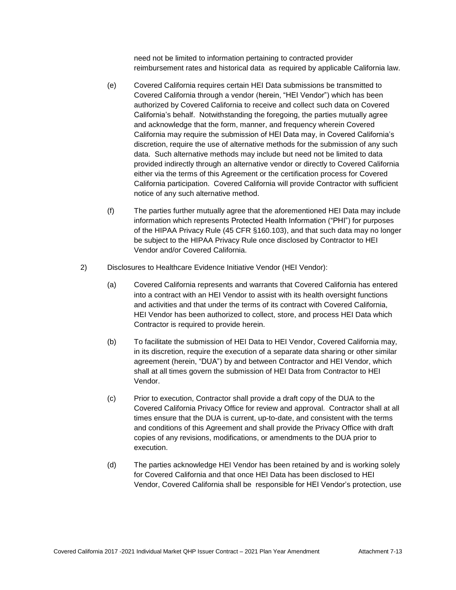need not be limited to information pertaining to contracted provider reimbursement rates and historical data as required by applicable California law.

- (e) Covered California requires certain HEI Data submissions be transmitted to Covered California through a vendor (herein, "HEI Vendor") which has been authorized by Covered California to receive and collect such data on Covered California's behalf. Notwithstanding the foregoing, the parties mutually agree and acknowledge that the form, manner, and frequency wherein Covered California may require the submission of HEI Data may, in Covered California's discretion, require the use of alternative methods for the submission of any such data. Such alternative methods may include but need not be limited to data provided indirectly through an alternative vendor or directly to Covered California either via the terms of this Agreement or the certification process for Covered California participation. Covered California will provide Contractor with sufficient notice of any such alternative method.
- (f) The parties further mutually agree that the aforementioned HEI Data may include information which represents Protected Health Information ("PHI") for purposes of the HIPAA Privacy Rule (45 CFR §160.103), and that such data may no longer be subject to the HIPAA Privacy Rule once disclosed by Contractor to HEI Vendor and/or Covered California.
- 2) Disclosures to Healthcare Evidence Initiative Vendor (HEI Vendor):
	- (a) Covered California represents and warrants that Covered California has entered into a contract with an HEI Vendor to assist with its health oversight functions and activities and that under the terms of its contract with Covered California, HEI Vendor has been authorized to collect, store, and process HEI Data which Contractor is required to provide herein.
	- (b) To facilitate the submission of HEI Data to HEI Vendor, Covered California may, in its discretion, require the execution of a separate data sharing or other similar agreement (herein, "DUA") by and between Contractor and HEI Vendor, which shall at all times govern the submission of HEI Data from Contractor to HEI Vendor.
	- (c) Prior to execution, Contractor shall provide a draft copy of the DUA to the Covered California Privacy Office for review and approval. Contractor shall at all times ensure that the DUA is current, up-to-date, and consistent with the terms and conditions of this Agreement and shall provide the Privacy Office with draft copies of any revisions, modifications, or amendments to the DUA prior to execution.
	- (d) The parties acknowledge HEI Vendor has been retained by and is working solely for Covered California and that once HEI Data has been disclosed to HEI Vendor, Covered California shall be responsible for HEI Vendor's protection, use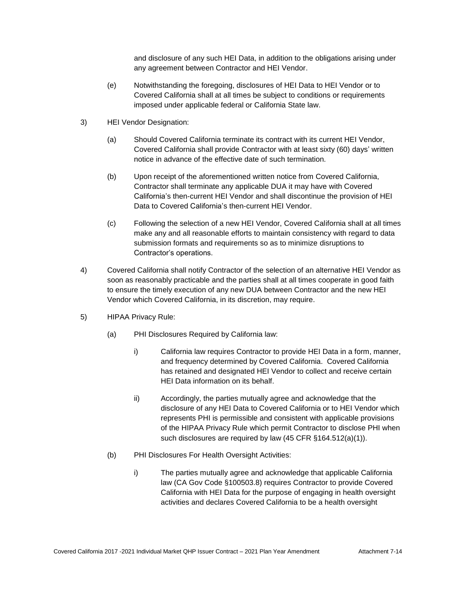and disclosure of any such HEI Data, in addition to the obligations arising under any agreement between Contractor and HEI Vendor.

- (e) Notwithstanding the foregoing, disclosures of HEI Data to HEI Vendor or to Covered California shall at all times be subject to conditions or requirements imposed under applicable federal or California State law.
- 3) HEI Vendor Designation:
	- (a) Should Covered California terminate its contract with its current HEI Vendor, Covered California shall provide Contractor with at least sixty (60) days' written notice in advance of the effective date of such termination.
	- (b) Upon receipt of the aforementioned written notice from Covered California, Contractor shall terminate any applicable DUA it may have with Covered California's then-current HEI Vendor and shall discontinue the provision of HEI Data to Covered California's then-current HEI Vendor.
	- (c) Following the selection of a new HEI Vendor, Covered California shall at all times make any and all reasonable efforts to maintain consistency with regard to data submission formats and requirements so as to minimize disruptions to Contractor's operations.
- 4) Covered California shall notify Contractor of the selection of an alternative HEI Vendor as soon as reasonably practicable and the parties shall at all times cooperate in good faith to ensure the timely execution of any new DUA between Contractor and the new HEI Vendor which Covered California, in its discretion, may require.
- 5) HIPAA Privacy Rule:
	- (a) PHI Disclosures Required by California law:
		- i) California law requires Contractor to provide HEI Data in a form, manner, and frequency determined by Covered California. Covered California has retained and designated HEI Vendor to collect and receive certain HEI Data information on its behalf.
		- ii) Accordingly, the parties mutually agree and acknowledge that the disclosure of any HEI Data to Covered California or to HEI Vendor which represents PHI is permissible and consistent with applicable provisions of the HIPAA Privacy Rule which permit Contractor to disclose PHI when such disclosures are required by law (45 CFR §164.512(a)(1)).
	- (b) PHI Disclosures For Health Oversight Activities:
		- i) The parties mutually agree and acknowledge that applicable California law (CA Gov Code §100503.8) requires Contractor to provide Covered California with HEI Data for the purpose of engaging in health oversight activities and declares Covered California to be a health oversight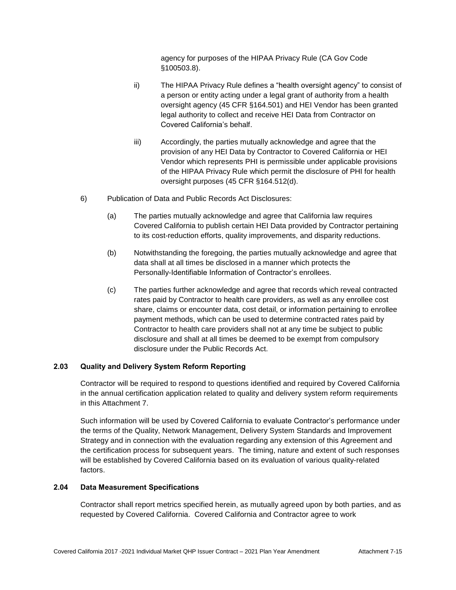agency for purposes of the HIPAA Privacy Rule (CA Gov Code §100503.8).

- ii) The HIPAA Privacy Rule defines a "health oversight agency" to consist of a person or entity acting under a legal grant of authority from a health oversight agency (45 CFR §164.501) and HEI Vendor has been granted legal authority to collect and receive HEI Data from Contractor on Covered California's behalf.
- iii) Accordingly, the parties mutually acknowledge and agree that the provision of any HEI Data by Contractor to Covered California or HEI Vendor which represents PHI is permissible under applicable provisions of the HIPAA Privacy Rule which permit the disclosure of PHI for health oversight purposes (45 CFR §164.512(d).
- 6) Publication of Data and Public Records Act Disclosures:
	- (a) The parties mutually acknowledge and agree that California law requires Covered California to publish certain HEI Data provided by Contractor pertaining to its cost-reduction efforts, quality improvements, and disparity reductions.
	- (b) Notwithstanding the foregoing, the parties mutually acknowledge and agree that data shall at all times be disclosed in a manner which protects the Personally-Identifiable Information of Contractor's enrollees.
	- (c) The parties further acknowledge and agree that records which reveal contracted rates paid by Contractor to health care providers, as well as any enrollee cost share, claims or encounter data, cost detail, or information pertaining to enrollee payment methods, which can be used to determine contracted rates paid by Contractor to health care providers shall not at any time be subject to public disclosure and shall at all times be deemed to be exempt from compulsory disclosure under the Public Records Act.

#### **2.03 Quality and Delivery System Reform Reporting**

Contractor will be required to respond to questions identified and required by Covered California in the annual certification application related to quality and delivery system reform requirements in this Attachment 7.

Such information will be used by Covered California to evaluate Contractor's performance under the terms of the Quality, Network Management, Delivery System Standards and Improvement Strategy and in connection with the evaluation regarding any extension of this Agreement and the certification process for subsequent years. The timing, nature and extent of such responses will be established by Covered California based on its evaluation of various quality-related factors.

## **2.04 Data Measurement Specifications**

Contractor shall report metrics specified herein, as mutually agreed upon by both parties, and as requested by Covered California. Covered California and Contractor agree to work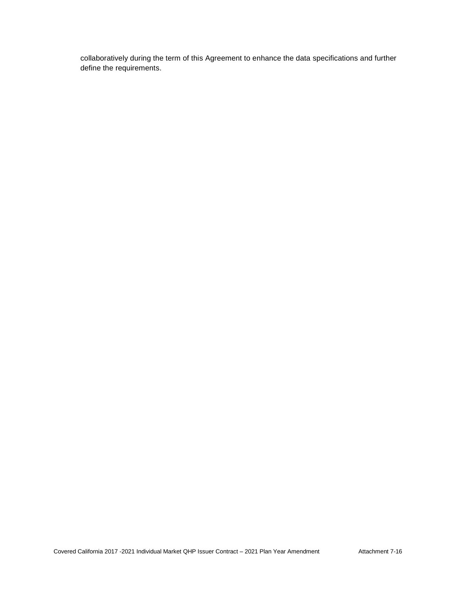collaboratively during the term of this Agreement to enhance the data specifications and further define the requirements.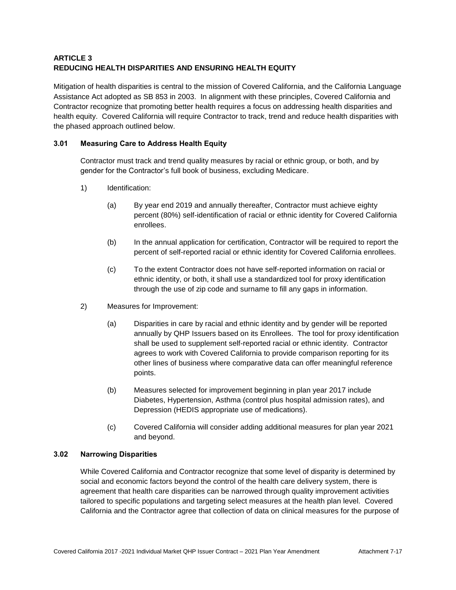# **ARTICLE 3 REDUCING HEALTH DISPARITIES AND ENSURING HEALTH EQUITY**

Mitigation of health disparities is central to the mission of Covered California, and the California Language Assistance Act adopted as SB 853 in 2003. In alignment with these principles, Covered California and Contractor recognize that promoting better health requires a focus on addressing health disparities and health equity. Covered California will require Contractor to track, trend and reduce health disparities with the phased approach outlined below.

# **3.01 Measuring Care to Address Health Equity**

Contractor must track and trend quality measures by racial or ethnic group, or both, and by gender for the Contractor's full book of business, excluding Medicare.

- 1) Identification:
	- (a) By year end 2019 and annually thereafter, Contractor must achieve eighty percent (80%) self-identification of racial or ethnic identity for Covered California enrollees.
	- (b) In the annual application for certification, Contractor will be required to report the percent of self-reported racial or ethnic identity for Covered California enrollees.
	- (c) To the extent Contractor does not have self-reported information on racial or ethnic identity, or both, it shall use a standardized tool for proxy identification through the use of zip code and surname to fill any gaps in information.
- 2) Measures for Improvement:
	- (a) Disparities in care by racial and ethnic identity and by gender will be reported annually by QHP Issuers based on its Enrollees. The tool for proxy identification shall be used to supplement self-reported racial or ethnic identity. Contractor agrees to work with Covered California to provide comparison reporting for its other lines of business where comparative data can offer meaningful reference points.
	- (b) Measures selected for improvement beginning in plan year 2017 include Diabetes, Hypertension, Asthma (control plus hospital admission rates), and Depression (HEDIS appropriate use of medications).
	- (c) Covered California will consider adding additional measures for plan year 2021 and beyond.

#### **3.02 Narrowing Disparities**

While Covered California and Contractor recognize that some level of disparity is determined by social and economic factors beyond the control of the health care delivery system, there is agreement that health care disparities can be narrowed through quality improvement activities tailored to specific populations and targeting select measures at the health plan level. Covered California and the Contractor agree that collection of data on clinical measures for the purpose of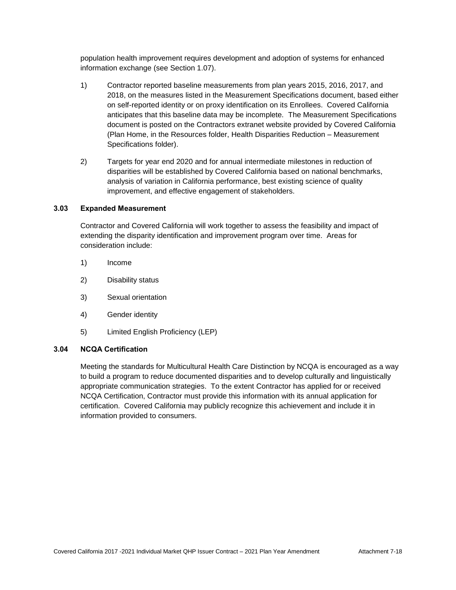population health improvement requires development and adoption of systems for enhanced information exchange (see Section 1.07).

- 1) Contractor reported baseline measurements from plan years 2015, 2016, 2017, and 2018, on the measures listed in the Measurement Specifications document, based either on self-reported identity or on proxy identification on its Enrollees. Covered California anticipates that this baseline data may be incomplete. The Measurement Specifications document is posted on the Contractors extranet website provided by Covered California (Plan Home, in the Resources folder, Health Disparities Reduction – Measurement Specifications folder).
- 2) Targets for year end 2020 and for annual intermediate milestones in reduction of disparities will be established by Covered California based on national benchmarks, analysis of variation in California performance, best existing science of quality improvement, and effective engagement of stakeholders.

#### **3.03 Expanded Measurement**

Contractor and Covered California will work together to assess the feasibility and impact of extending the disparity identification and improvement program over time. Areas for consideration include:

- 1) Income
- 2) Disability status
- 3) Sexual orientation
- 4) Gender identity
- 5) Limited English Proficiency (LEP)

#### **3.04 NCQA Certification**

Meeting the standards for Multicultural Health Care Distinction by NCQA is encouraged as a way to build a program to reduce documented disparities and to develop culturally and linguistically appropriate communication strategies. To the extent Contractor has applied for or received NCQA Certification, Contractor must provide this information with its annual application for certification. Covered California may publicly recognize this achievement and include it in information provided to consumers.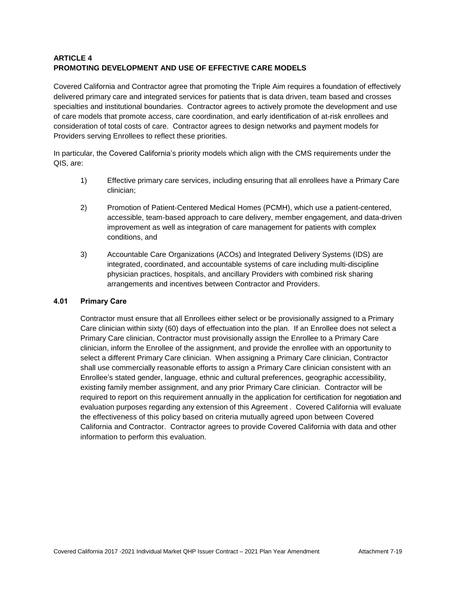# **ARTICLE 4 PROMOTING DEVELOPMENT AND USE OF EFFECTIVE CARE MODELS**

Covered California and Contractor agree that promoting the Triple Aim requires a foundation of effectively delivered primary care and integrated services for patients that is data driven, team based and crosses specialties and institutional boundaries. Contractor agrees to actively promote the development and use of care models that promote access, care coordination, and early identification of at-risk enrollees and consideration of total costs of care. Contractor agrees to design networks and payment models for Providers serving Enrollees to reflect these priorities.

In particular, the Covered California's priority models which align with the CMS requirements under the QIS, are:

- 1) Effective primary care services, including ensuring that all enrollees have a Primary Care clinician;
- 2) Promotion of Patient-Centered Medical Homes (PCMH), which use a patient-centered, accessible, team-based approach to care delivery, member engagement, and data-driven improvement as well as integration of care management for patients with complex conditions, and
- 3) Accountable Care Organizations (ACOs) and Integrated Delivery Systems (IDS) are integrated, coordinated, and accountable systems of care including multi-discipline physician practices, hospitals, and ancillary Providers with combined risk sharing arrangements and incentives between Contractor and Providers.

#### **4.01 Primary Care**

Contractor must ensure that all Enrollees either select or be provisionally assigned to a Primary Care clinician within sixty (60) days of effectuation into the plan. If an Enrollee does not select a Primary Care clinician, Contractor must provisionally assign the Enrollee to a Primary Care clinician, inform the Enrollee of the assignment, and provide the enrollee with an opportunity to select a different Primary Care clinician. When assigning a Primary Care clinician, Contractor shall use commercially reasonable efforts to assign a Primary Care clinician consistent with an Enrollee's stated gender, language, ethnic and cultural preferences, geographic accessibility, existing family member assignment, and any prior Primary Care clinician. Contractor will be required to report on this requirement annually in the application for certification for negotiation and evaluation purposes regarding any extension of this Agreement . Covered California will evaluate the effectiveness of this policy based on criteria mutually agreed upon between Covered California and Contractor. Contractor agrees to provide Covered California with data and other information to perform this evaluation.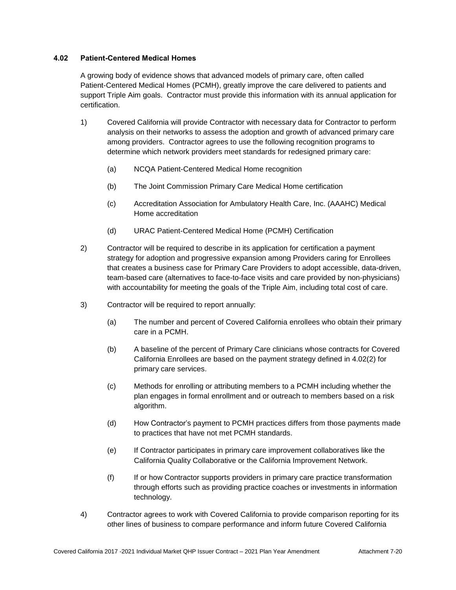## **4.02 Patient-Centered Medical Homes**

A growing body of evidence shows that advanced models of primary care, often called Patient-Centered Medical Homes (PCMH), greatly improve the care delivered to patients and support Triple Aim goals. Contractor must provide this information with its annual application for certification.

- 1) Covered California will provide Contractor with necessary data for Contractor to perform analysis on their networks to assess the adoption and growth of advanced primary care among providers. Contractor agrees to use the following recognition programs to determine which network providers meet standards for redesigned primary care:
	- (a) NCQA Patient-Centered Medical Home recognition
	- (b) The Joint Commission Primary Care Medical Home certification
	- (c) Accreditation Association for Ambulatory Health Care, Inc. (AAAHC) Medical Home accreditation
	- (d) URAC Patient-Centered Medical Home (PCMH) Certification
- 2) Contractor will be required to describe in its application for certification a payment strategy for adoption and progressive expansion among Providers caring for Enrollees that creates a business case for Primary Care Providers to adopt accessible, data-driven, team-based care (alternatives to face-to-face visits and care provided by non-physicians) with accountability for meeting the goals of the Triple Aim, including total cost of care.
- 3) Contractor will be required to report annually:
	- (a) The number and percent of Covered California enrollees who obtain their primary care in a PCMH.
	- (b) A baseline of the percent of Primary Care clinicians whose contracts for Covered California Enrollees are based on the payment strategy defined in 4.02(2) for primary care services.
	- (c) Methods for enrolling or attributing members to a PCMH including whether the plan engages in formal enrollment and or outreach to members based on a risk algorithm.
	- (d) How Contractor's payment to PCMH practices differs from those payments made to practices that have not met PCMH standards.
	- (e) If Contractor participates in primary care improvement collaboratives like the California Quality Collaborative or the California Improvement Network.
	- (f) If or how Contractor supports providers in primary care practice transformation through efforts such as providing practice coaches or investments in information technology.
- 4) Contractor agrees to work with Covered California to provide comparison reporting for its other lines of business to compare performance and inform future Covered California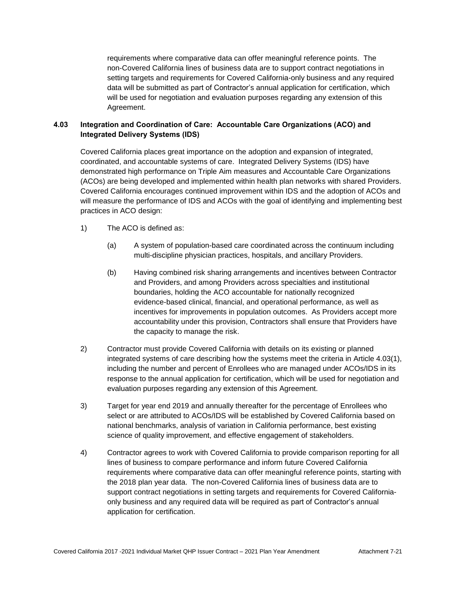requirements where comparative data can offer meaningful reference points. The non-Covered California lines of business data are to support contract negotiations in setting targets and requirements for Covered California-only business and any required data will be submitted as part of Contractor's annual application for certification, which will be used for negotiation and evaluation purposes regarding any extension of this Agreement.

# **4.03 Integration and Coordination of Care: Accountable Care Organizations (ACO) and Integrated Delivery Systems (IDS)**

Covered California places great importance on the adoption and expansion of integrated, coordinated, and accountable systems of care. Integrated Delivery Systems (IDS) have demonstrated high performance on Triple Aim measures and Accountable Care Organizations (ACOs) are being developed and implemented within health plan networks with shared Providers. Covered California encourages continued improvement within IDS and the adoption of ACOs and will measure the performance of IDS and ACOs with the goal of identifying and implementing best practices in ACO design:

- 1) The ACO is defined as:
	- (a) A system of population-based care coordinated across the continuum including multi-discipline physician practices, hospitals, and ancillary Providers.
	- (b) Having combined risk sharing arrangements and incentives between Contractor and Providers, and among Providers across specialties and institutional boundaries, holding the ACO accountable for nationally recognized evidence-based clinical, financial, and operational performance, as well as incentives for improvements in population outcomes. As Providers accept more accountability under this provision, Contractors shall ensure that Providers have the capacity to manage the risk.
- 2) Contractor must provide Covered California with details on its existing or planned integrated systems of care describing how the systems meet the criteria in Article 4.03(1), including the number and percent of Enrollees who are managed under ACOs/IDS in its response to the annual application for certification, which will be used for negotiation and evaluation purposes regarding any extension of this Agreement.
- 3) Target for year end 2019 and annually thereafter for the percentage of Enrollees who select or are attributed to ACOs/IDS will be established by Covered California based on national benchmarks, analysis of variation in California performance, best existing science of quality improvement, and effective engagement of stakeholders.
- 4) Contractor agrees to work with Covered California to provide comparison reporting for all lines of business to compare performance and inform future Covered California requirements where comparative data can offer meaningful reference points, starting with the 2018 plan year data. The non-Covered California lines of business data are to support contract negotiations in setting targets and requirements for Covered Californiaonly business and any required data will be required as part of Contractor's annual application for certification.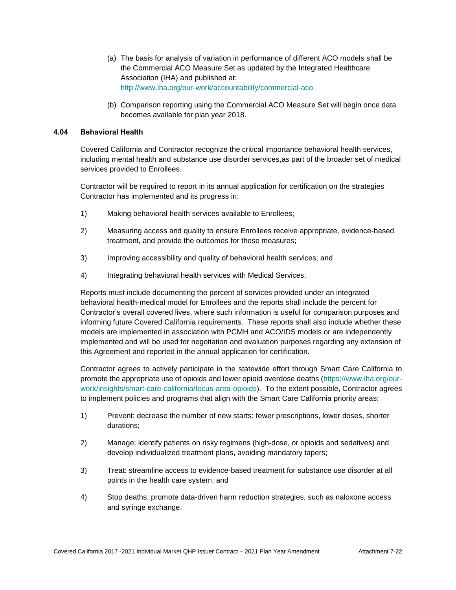- (a) The basis for analysis of variation in performance of different ACO models shall be the Commercial ACO Measure Set as updated by the Integrated Healthcare Association (IHA) and published at: [http://www.iha.org/our-work/accountability/commercial-aco.](http://www.iha.org/our-work/accountability/commercial-aco)
- (b) Comparison reporting using the Commercial ACO Measure Set will begin once data becomes available for plan year 2018.

#### **4.04 Behavioral Health**

Covered California and Contractor recognize the critical importance behavioral health services, including mental health and substance use disorder services,as part of the broader set of medical services provided to Enrollees.

Contractor will be required to report in its annual application for certification on the strategies Contractor has implemented and its progress in:

- 1) Making behavioral health services available to Enrollees;
- 2) Measuring access and quality to ensure Enrollees receive appropriate, evidence-based treatment, and provide the outcomes for these measures;
- 3) Improving accessibility and quality of behavioral health services; and
- 4) Integrating behavioral health services with Medical Services.

Reports must include documenting the percent of services provided under an integrated behavioral health-medical model for Enrollees and the reports shall include the percent for Contractor's overall covered lives, where such information is useful for comparison purposes and informing future Covered California requirements. These reports shall also include whether these models are implemented in association with PCMH and ACO/IDS models or are independently implemented and will be used for negotiation and evaluation purposes regarding any extension of this Agreement and reported in the annual application for certification.

Contractor agrees to actively participate in the statewide effort through Smart Care California to promote the appropriate use of opioids and lower opioid overdose deaths [\(https://www.iha.org/our](https://www.iha.org/our-work/insights/smart-care-california/focus-area-opioids)[work/insights/smart-care-california/focus-area-opioids\)](https://www.iha.org/our-work/insights/smart-care-california/focus-area-opioids). To the extent possible, Contractor agrees to implement policies and programs that align with the Smart Care California priority areas:

- 1) Prevent: decrease the number of new starts: fewer prescriptions, lower doses, shorter durations;
- 2) Manage: identify patients on risky regimens (high-dose, or opioids and sedatives) and develop individualized treatment plans, avoiding mandatory tapers;
- 3) Treat: streamline access to evidence-based treatment for substance use disorder at all points in the health care system; and
- 4) Stop deaths: promote data-driven harm reduction strategies, such as naloxone access and syringe exchange.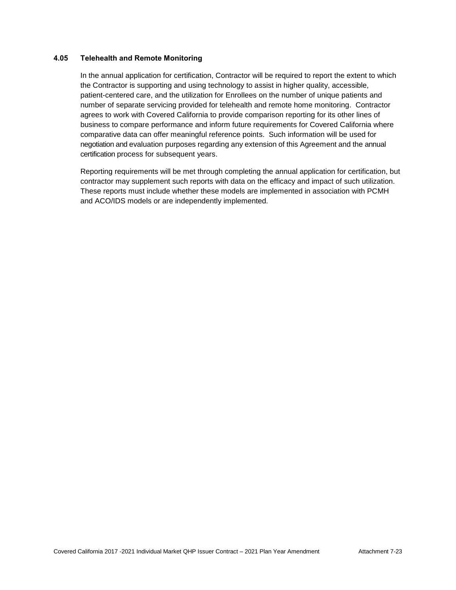## **4.05 Telehealth and Remote Monitoring**

In the annual application for certification, Contractor will be required to report the extent to which the Contractor is supporting and using technology to assist in higher quality, accessible, patient-centered care, and the utilization for Enrollees on the number of unique patients and number of separate servicing provided for telehealth and remote home monitoring. Contractor agrees to work with Covered California to provide comparison reporting for its other lines of business to compare performance and inform future requirements for Covered California where comparative data can offer meaningful reference points. Such information will be used for negotiation and evaluation purposes regarding any extension of this Agreement and the annual certification process for subsequent years.

Reporting requirements will be met through completing the annual application for certification, but contractor may supplement such reports with data on the efficacy and impact of such utilization. These reports must include whether these models are implemented in association with PCMH and ACO/IDS models or are independently implemented.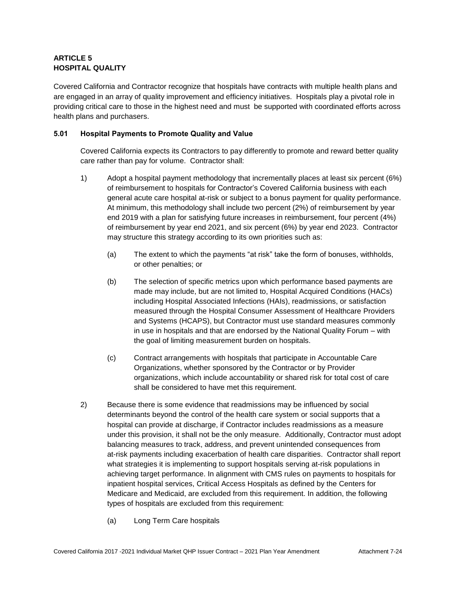# **ARTICLE 5 HOSPITAL QUALITY**

Covered California and Contractor recognize that hospitals have contracts with multiple health plans and are engaged in an array of quality improvement and efficiency initiatives. Hospitals play a pivotal role in providing critical care to those in the highest need and must be supported with coordinated efforts across health plans and purchasers.

## **5.01 Hospital Payments to Promote Quality and Value**

Covered California expects its Contractors to pay differently to promote and reward better quality care rather than pay for volume. Contractor shall:

- 1) Adopt a hospital payment methodology that incrementally places at least six percent (6%) of reimbursement to hospitals for Contractor's Covered California business with each general acute care hospital at-risk or subject to a bonus payment for quality performance. At minimum, this methodology shall include two percent (2%) of reimbursement by year end 2019 with a plan for satisfying future increases in reimbursement, four percent (4%) of reimbursement by year end 2021, and six percent (6%) by year end 2023. Contractor may structure this strategy according to its own priorities such as:
	- (a) The extent to which the payments "at risk" take the form of bonuses, withholds, or other penalties; or
	- (b) The selection of specific metrics upon which performance based payments are made may include, but are not limited to, Hospital Acquired Conditions (HACs) including Hospital Associated Infections (HAIs), readmissions, or satisfaction measured through the Hospital Consumer Assessment of Healthcare Providers and Systems (HCAPS), but Contractor must use standard measures commonly in use in hospitals and that are endorsed by the National Quality Forum – with the goal of limiting measurement burden on hospitals.
	- (c) Contract arrangements with hospitals that participate in Accountable Care Organizations, whether sponsored by the Contractor or by Provider organizations, which include accountability or shared risk for total cost of care shall be considered to have met this requirement.
- 2) Because there is some evidence that readmissions may be influenced by social determinants beyond the control of the health care system or social supports that a hospital can provide at discharge, if Contractor includes readmissions as a measure under this provision, it shall not be the only measure. Additionally, Contractor must adopt balancing measures to track, address, and prevent unintended consequences from at-risk payments including exacerbation of health care disparities. Contractor shall report what strategies it is implementing to support hospitals serving at-risk populations in achieving target performance. In alignment with CMS rules on payments to hospitals for inpatient hospital services, Critical Access Hospitals as defined by the Centers for Medicare and Medicaid, are excluded from this requirement. In addition, the following types of hospitals are excluded from this requirement:
	- (a) Long Term Care hospitals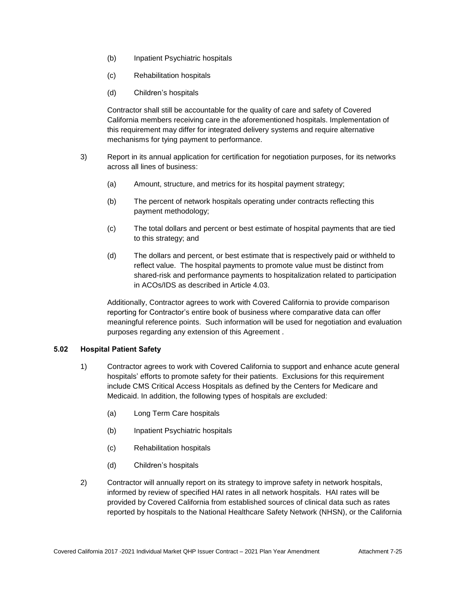- (b) Inpatient Psychiatric hospitals
- (c) Rehabilitation hospitals
- (d) Children's hospitals

Contractor shall still be accountable for the quality of care and safety of Covered California members receiving care in the aforementioned hospitals. Implementation of this requirement may differ for integrated delivery systems and require alternative mechanisms for tying payment to performance.

- 3) Report in its annual application for certification for negotiation purposes, for its networks across all lines of business:
	- (a) Amount, structure, and metrics for its hospital payment strategy;
	- (b) The percent of network hospitals operating under contracts reflecting this payment methodology;
	- (c) The total dollars and percent or best estimate of hospital payments that are tied to this strategy; and
	- (d) The dollars and percent, or best estimate that is respectively paid or withheld to reflect value. The hospital payments to promote value must be distinct from shared-risk and performance payments to hospitalization related to participation in ACOs/IDS as described in Article 4.03.

Additionally, Contractor agrees to work with Covered California to provide comparison reporting for Contractor's entire book of business where comparative data can offer meaningful reference points. Such information will be used for negotiation and evaluation purposes regarding any extension of this Agreement .

## **5.02 Hospital Patient Safety**

- 1) Contractor agrees to work with Covered California to support and enhance acute general hospitals' efforts to promote safety for their patients. Exclusions for this requirement include CMS Critical Access Hospitals as defined by the Centers for Medicare and Medicaid. In addition, the following types of hospitals are excluded:
	- (a) Long Term Care hospitals
	- (b) Inpatient Psychiatric hospitals
	- (c) Rehabilitation hospitals
	- (d) Children's hospitals
- 2) Contractor will annually report on its strategy to improve safety in network hospitals, informed by review of specified HAI rates in all network hospitals. HAI rates will be provided by Covered California from established sources of clinical data such as rates reported by hospitals to the National Healthcare Safety Network (NHSN), or the California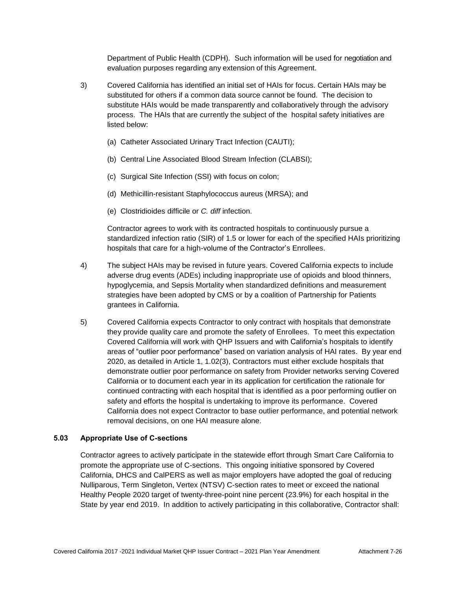Department of Public Health (CDPH). Such information will be used for negotiation and evaluation purposes regarding any extension of this Agreement.

- 3) Covered California has identified an initial set of HAIs for focus. Certain HAIs may be substituted for others if a common data source cannot be found. The decision to substitute HAIs would be made transparently and collaboratively through the advisory process. The HAIs that are currently the subject of the hospital safety initiatives are listed below:
	- (a) Catheter Associated Urinary Tract Infection (CAUTI);
	- (b) Central Line Associated Blood Stream Infection (CLABSI);
	- (c) Surgical Site Infection (SSI) with focus on colon;
	- (d) Methicillin-resistant Staphylococcus aureus (MRSA); and
	- (e) Clostridioides difficile or *C. diff* infection.

Contractor agrees to work with its contracted hospitals to continuously pursue a standardized infection ratio (SIR) of 1.5 or lower for each of the specified HAIs prioritizing hospitals that care for a high-volume of the Contractor's Enrollees.

- 4) The subject HAIs may be revised in future years. Covered California expects to include adverse drug events (ADEs) including inappropriate use of opioids and blood thinners, hypoglycemia, and Sepsis Mortality when standardized definitions and measurement strategies have been adopted by CMS or by a coalition of Partnership for Patients grantees in California.
- 5) Covered California expects Contractor to only contract with hospitals that demonstrate they provide quality care and promote the safety of Enrollees. To meet this expectation Covered California will work with QHP Issuers and with California's hospitals to identify areas of "outlier poor performance" based on variation analysis of HAI rates. By year end 2020, as detailed in Article 1, 1.02(3), Contractors must either exclude hospitals that demonstrate outlier poor performance on safety from Provider networks serving Covered California or to document each year in its application for certification the rationale for continued contracting with each hospital that is identified as a poor performing outlier on safety and efforts the hospital is undertaking to improve its performance. Covered California does not expect Contractor to base outlier performance, and potential network removal decisions, on one HAI measure alone.

## **5.03 Appropriate Use of C-sections**

Contractor agrees to actively participate in the statewide effort through Smart Care California to promote the appropriate use of C-sections. This ongoing initiative sponsored by Covered California, DHCS and CalPERS as well as major employers have adopted the goal of reducing Nulliparous, Term Singleton, Vertex (NTSV) C-section rates to meet or exceed the national Healthy People 2020 target of twenty-three-point nine percent (23.9%) for each hospital in the State by year end 2019. In addition to actively participating in this collaborative, Contractor shall: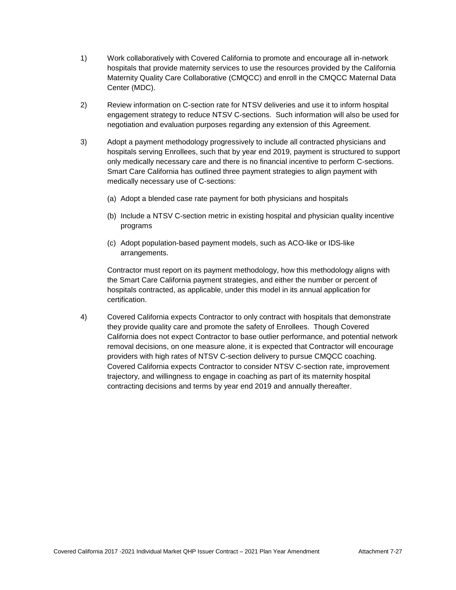- 1) Work collaboratively with Covered California to promote and encourage all in-network hospitals that provide maternity services to use the resources provided by the California Maternity Quality Care Collaborative (CMQCC) and enroll in the CMQCC Maternal Data Center (MDC).
- 2) Review information on C-section rate for NTSV deliveries and use it to inform hospital engagement strategy to reduce NTSV C-sections. Such information will also be used for negotiation and evaluation purposes regarding any extension of this Agreement.
- 3) Adopt a payment methodology progressively to include all contracted physicians and hospitals serving Enrollees, such that by year end 2019, payment is structured to support only medically necessary care and there is no financial incentive to perform C-sections. Smart Care California has outlined three payment strategies to align payment with medically necessary use of C-sections:
	- (a) Adopt a blended case rate payment for both physicians and hospitals
	- (b) Include a NTSV C-section metric in existing hospital and physician quality incentive programs
	- (c) Adopt population-based payment models, such as ACO-like or IDS-like arrangements.

Contractor must report on its payment methodology, how this methodology aligns with the Smart Care California payment strategies, and either the number or percent of hospitals contracted, as applicable, under this model in its annual application for certification.

4) Covered California expects Contractor to only contract with hospitals that demonstrate they provide quality care and promote the safety of Enrollees. Though Covered California does not expect Contractor to base outlier performance, and potential network removal decisions, on one measure alone, it is expected that Contractor will encourage providers with high rates of NTSV C-section delivery to pursue CMQCC coaching. Covered California expects Contractor to consider NTSV C-section rate, improvement trajectory, and willingness to engage in coaching as part of its maternity hospital contracting decisions and terms by year end 2019 and annually thereafter.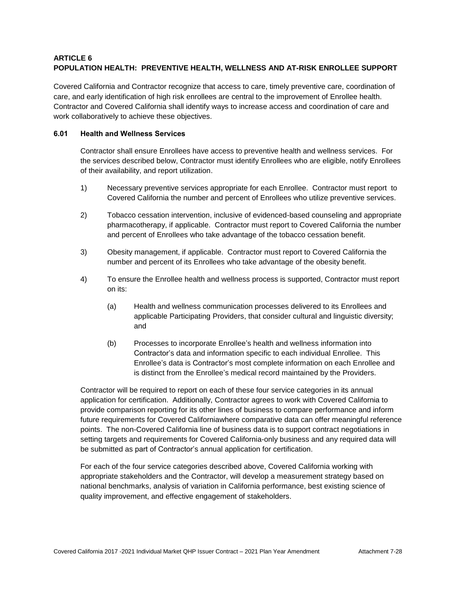# **ARTICLE 6 POPULATION HEALTH: PREVENTIVE HEALTH, WELLNESS AND AT-RISK ENROLLEE SUPPORT**

Covered California and Contractor recognize that access to care, timely preventive care, coordination of care, and early identification of high risk enrollees are central to the improvement of Enrollee health. Contractor and Covered California shall identify ways to increase access and coordination of care and work collaboratively to achieve these objectives.

## **6.01 Health and Wellness Services**

Contractor shall ensure Enrollees have access to preventive health and wellness services. For the services described below, Contractor must identify Enrollees who are eligible, notify Enrollees of their availability, and report utilization.

- 1) Necessary preventive services appropriate for each Enrollee. Contractor must report to Covered California the number and percent of Enrollees who utilize preventive services.
- 2) Tobacco cessation intervention, inclusive of evidenced-based counseling and appropriate pharmacotherapy, if applicable. Contractor must report to Covered California the number and percent of Enrollees who take advantage of the tobacco cessation benefit.
- 3) Obesity management, if applicable. Contractor must report to Covered California the number and percent of its Enrollees who take advantage of the obesity benefit.
- 4) To ensure the Enrollee health and wellness process is supported, Contractor must report on its:
	- (a) Health and wellness communication processes delivered to its Enrollees and applicable Participating Providers, that consider cultural and linguistic diversity; and
	- (b) Processes to incorporate Enrollee's health and wellness information into Contractor's data and information specific to each individual Enrollee. This Enrollee's data is Contractor's most complete information on each Enrollee and is distinct from the Enrollee's medical record maintained by the Providers.

Contractor will be required to report on each of these four service categories in its annual application for certification. Additionally, Contractor agrees to work with Covered California to provide comparison reporting for its other lines of business to compare performance and inform future requirements for Covered Californiawhere comparative data can offer meaningful reference points. The non-Covered California line of business data is to support contract negotiations in setting targets and requirements for Covered California-only business and any required data will be submitted as part of Contractor's annual application for certification.

For each of the four service categories described above, Covered California working with appropriate stakeholders and the Contractor, will develop a measurement strategy based on national benchmarks, analysis of variation in California performance, best existing science of quality improvement, and effective engagement of stakeholders.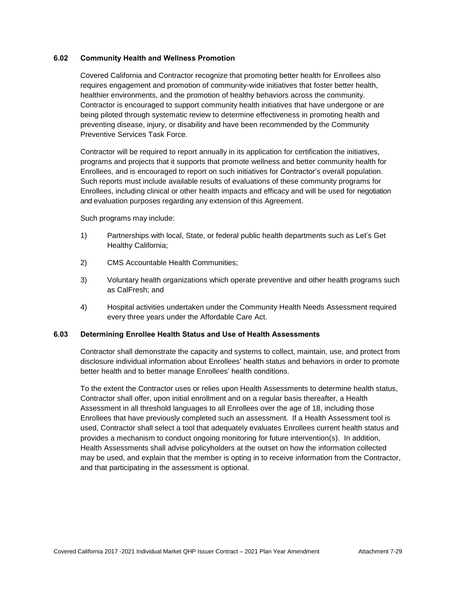## **6.02 Community Health and Wellness Promotion**

Covered California and Contractor recognize that promoting better health for Enrollees also requires engagement and promotion of community-wide initiatives that foster better health, healthier environments, and the promotion of healthy behaviors across the community. Contractor is encouraged to support community health initiatives that have undergone or are being piloted through systematic review to determine effectiveness in promoting health and preventing disease, injury, or disability and have been recommended by the Community Preventive Services Task Force.

Contractor will be required to report annually in its application for certification the initiatives, programs and projects that it supports that promote wellness and better community health for Enrollees, and is encouraged to report on such initiatives for Contractor's overall population. Such reports must include available results of evaluations of these community programs for Enrollees, including clinical or other health impacts and efficacy and will be used for negotiation and evaluation purposes regarding any extension of this Agreement.

Such programs may include:

- 1) Partnerships with local, State, or federal public health departments such as Let's Get Healthy California;
- 2) CMS Accountable Health Communities;
- 3) Voluntary health organizations which operate preventive and other health programs such as CalFresh; and
- 4) Hospital activities undertaken under the Community Health Needs Assessment required every three years under the Affordable Care Act.

#### **6.03 Determining Enrollee Health Status and Use of Health Assessments**

Contractor shall demonstrate the capacity and systems to collect, maintain, use, and protect from disclosure individual information about Enrollees' health status and behaviors in order to promote better health and to better manage Enrollees' health conditions.

To the extent the Contractor uses or relies upon Health Assessments to determine health status, Contractor shall offer, upon initial enrollment and on a regular basis thereafter, a Health Assessment in all threshold languages to all Enrollees over the age of 18, including those Enrollees that have previously completed such an assessment. If a Health Assessment tool is used, Contractor shall select a tool that adequately evaluates Enrollees current health status and provides a mechanism to conduct ongoing monitoring for future intervention(s). In addition, Health Assessments shall advise policyholders at the outset on how the information collected may be used, and explain that the member is opting in to receive information from the Contractor, and that participating in the assessment is optional.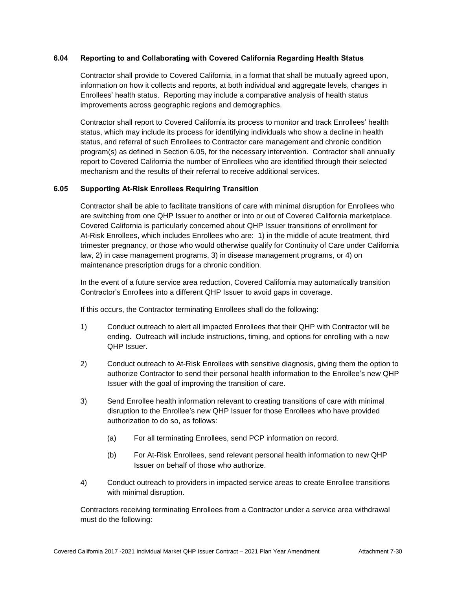## **6.04 Reporting to and Collaborating with Covered California Regarding Health Status**

Contractor shall provide to Covered California, in a format that shall be mutually agreed upon, information on how it collects and reports, at both individual and aggregate levels, changes in Enrollees' health status. Reporting may include a comparative analysis of health status improvements across geographic regions and demographics.

Contractor shall report to Covered California its process to monitor and track Enrollees' health status, which may include its process for identifying individuals who show a decline in health status, and referral of such Enrollees to Contractor care management and chronic condition program(s) as defined in Section 6.05, for the necessary intervention. Contractor shall annually report to Covered California the number of Enrollees who are identified through their selected mechanism and the results of their referral to receive additional services.

## **6.05 Supporting At-Risk Enrollees Requiring Transition**

Contractor shall be able to facilitate transitions of care with minimal disruption for Enrollees who are switching from one QHP Issuer to another or into or out of Covered California marketplace. Covered California is particularly concerned about QHP Issuer transitions of enrollment for At-Risk Enrollees, which includes Enrollees who are: 1) in the middle of acute treatment, third trimester pregnancy, or those who would otherwise qualify for Continuity of Care under California law, 2) in case management programs, 3) in disease management programs, or 4) on maintenance prescription drugs for a chronic condition.

In the event of a future service area reduction, Covered California may automatically transition Contractor's Enrollees into a different QHP Issuer to avoid gaps in coverage.

If this occurs, the Contractor terminating Enrollees shall do the following:

- 1) Conduct outreach to alert all impacted Enrollees that their QHP with Contractor will be ending. Outreach will include instructions, timing, and options for enrolling with a new QHP Issuer.
- 2) Conduct outreach to At-Risk Enrollees with sensitive diagnosis, giving them the option to authorize Contractor to send their personal health information to the Enrollee's new QHP Issuer with the goal of improving the transition of care.
- 3) Send Enrollee health information relevant to creating transitions of care with minimal disruption to the Enrollee's new QHP Issuer for those Enrollees who have provided authorization to do so, as follows:
	- (a) For all terminating Enrollees, send PCP information on record.
	- (b) For At-Risk Enrollees, send relevant personal health information to new QHP Issuer on behalf of those who authorize.
- 4) Conduct outreach to providers in impacted service areas to create Enrollee transitions with minimal disruption.

Contractors receiving terminating Enrollees from a Contractor under a service area withdrawal must do the following: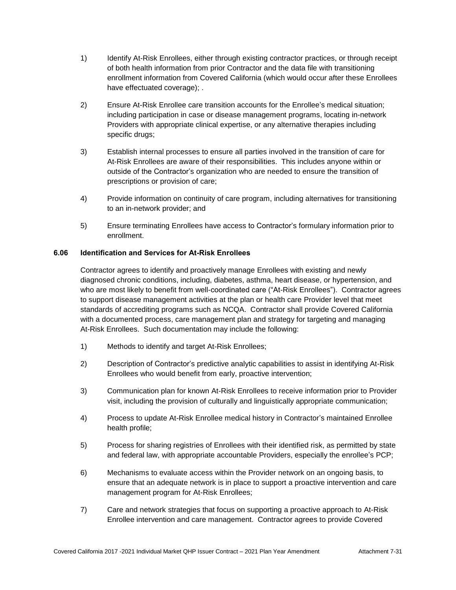- 1) Identify At-Risk Enrollees, either through existing contractor practices, or through receipt of both health information from prior Contractor and the data file with transitioning enrollment information from Covered California (which would occur after these Enrollees have effectuated coverage); .
- 2) Ensure At-Risk Enrollee care transition accounts for the Enrollee's medical situation; including participation in case or disease management programs, locating in-network Providers with appropriate clinical expertise, or any alternative therapies including specific drugs;
- 3) Establish internal processes to ensure all parties involved in the transition of care for At-Risk Enrollees are aware of their responsibilities. This includes anyone within or outside of the Contractor's organization who are needed to ensure the transition of prescriptions or provision of care;
- 4) Provide information on continuity of care program, including alternatives for transitioning to an in-network provider; and
- 5) Ensure terminating Enrollees have access to Contractor's formulary information prior to enrollment.

## **6.06 Identification and Services for At-Risk Enrollees**

Contractor agrees to identify and proactively manage Enrollees with existing and newly diagnosed chronic conditions, including, diabetes, asthma, heart disease, or hypertension, and who are most likely to benefit from well-coordinated care ("At-Risk Enrollees"). Contractor agrees to support disease management activities at the plan or health care Provider level that meet standards of accrediting programs such as NCQA. Contractor shall provide Covered California with a documented process, care management plan and strategy for targeting and managing At-Risk Enrollees. Such documentation may include the following:

- 1) Methods to identify and target At-Risk Enrollees;
- 2) Description of Contractor's predictive analytic capabilities to assist in identifying At-Risk Enrollees who would benefit from early, proactive intervention;
- 3) Communication plan for known At-Risk Enrollees to receive information prior to Provider visit, including the provision of culturally and linguistically appropriate communication;
- 4) Process to update At-Risk Enrollee medical history in Contractor's maintained Enrollee health profile;
- 5) Process for sharing registries of Enrollees with their identified risk, as permitted by state and federal law, with appropriate accountable Providers, especially the enrollee's PCP;
- 6) Mechanisms to evaluate access within the Provider network on an ongoing basis, to ensure that an adequate network is in place to support a proactive intervention and care management program for At-Risk Enrollees;
- 7) Care and network strategies that focus on supporting a proactive approach to At-Risk Enrollee intervention and care management. Contractor agrees to provide Covered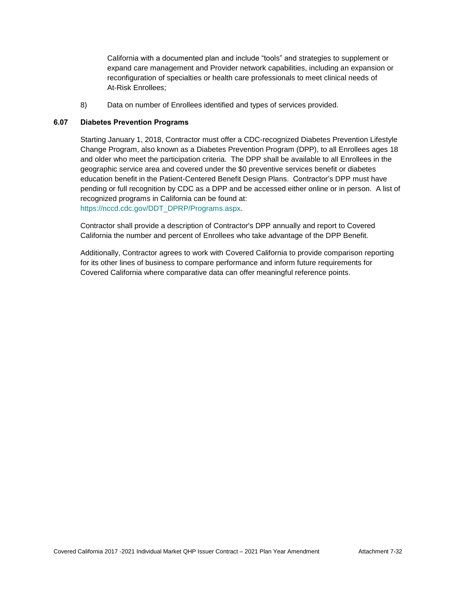California with a documented plan and include "tools" and strategies to supplement or expand care management and Provider network capabilities, including an expansion or reconfiguration of specialties or health care professionals to meet clinical needs of At-Risk Enrollees;

8) Data on number of Enrollees identified and types of services provided.

#### **6.07 Diabetes Prevention Programs**

Starting January 1, 2018, Contractor must offer a CDC-recognized Diabetes Prevention Lifestyle Change Program, also known as a Diabetes Prevention Program (DPP), to all Enrollees ages 18 and older who meet the participation criteria. The DPP shall be available to all Enrollees in the geographic service area and covered under the \$0 preventive services benefit or diabetes education benefit in the Patient-Centered Benefit Design Plans. Contractor's DPP must have pending or full recognition by CDC as a DPP and be accessed either online or in person. A list of recognized programs in California can be found at: [https://nccd.cdc.gov/DDT\\_DPRP/Programs.aspx.](https://nccd.cdc.gov/DDT_DPRP/Programs.aspx)

Contractor shall provide a description of Contractor's DPP annually and report to Covered California the number and percent of Enrollees who take advantage of the DPP Benefit.

Additionally, Contractor agrees to work with Covered California to provide comparison reporting for its other lines of business to compare performance and inform future requirements for Covered California where comparative data can offer meaningful reference points.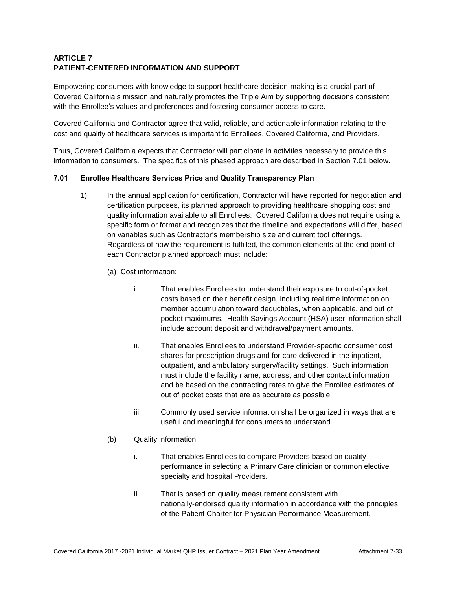# **ARTICLE 7 PATIENT-CENTERED INFORMATION AND SUPPORT**

Empowering consumers with knowledge to support healthcare decision-making is a crucial part of Covered California's mission and naturally promotes the Triple Aim by supporting decisions consistent with the Enrollee's values and preferences and fostering consumer access to care.

Covered California and Contractor agree that valid, reliable, and actionable information relating to the cost and quality of healthcare services is important to Enrollees, Covered California, and Providers.

Thus, Covered California expects that Contractor will participate in activities necessary to provide this information to consumers. The specifics of this phased approach are described in Section 7.01 below.

# **7.01 Enrollee Healthcare Services Price and Quality Transparency Plan**

- 1) In the annual application for certification, Contractor will have reported for negotiation and certification purposes, its planned approach to providing healthcare shopping cost and quality information available to all Enrollees. Covered California does not require using a specific form or format and recognizes that the timeline and expectations will differ, based on variables such as Contractor's membership size and current tool offerings. Regardless of how the requirement is fulfilled, the common elements at the end point of each Contractor planned approach must include:
	- (a) Cost information:
		- i. That enables Enrollees to understand their exposure to out-of-pocket costs based on their benefit design, including real time information on member accumulation toward deductibles, when applicable, and out of pocket maximums. Health Savings Account (HSA) user information shall include account deposit and withdrawal/payment amounts.
		- ii. That enables Enrollees to understand Provider-specific consumer cost shares for prescription drugs and for care delivered in the inpatient, outpatient, and ambulatory surgery/facility settings. Such information must include the facility name, address, and other contact information and be based on the contracting rates to give the Enrollee estimates of out of pocket costs that are as accurate as possible.
		- iii. Commonly used service information shall be organized in ways that are useful and meaningful for consumers to understand.
	- (b) Quality information:
		- i. That enables Enrollees to compare Providers based on quality performance in selecting a Primary Care clinician or common elective specialty and hospital Providers.
		- ii. That is based on quality measurement consistent with nationally-endorsed quality information in accordance with the principles of the Patient Charter for Physician Performance Measurement.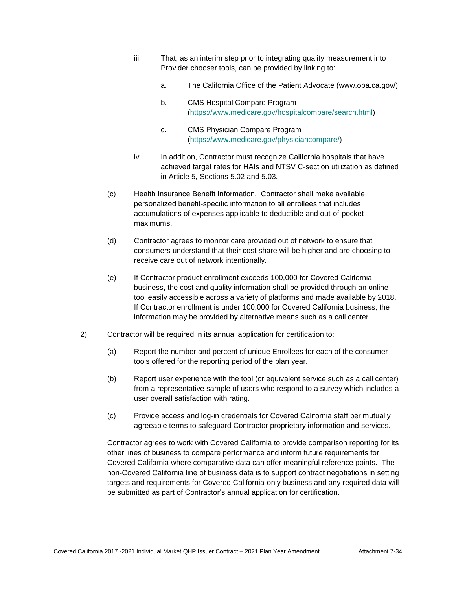- iii. That, as an interim step prior to integrating quality measurement into Provider chooser tools, can be provided by linking to:
	- a. The California Office of the Patient Advocate (www.opa.ca.gov/)
	- b. CMS Hospital Compare Program [\(https://www.medicare.gov/hospitalcompare/search.html\)](https://www.medicare.gov/hospitalcompare/search.html)
	- c. CMS Physician Compare Program [\(https://www.medicare.gov/physiciancompare/\)](https://gcc01.safelinks.protection.outlook.com/?url=https%3A%2F%2Fwww.medicare.gov%2Fphysiciancompare%2F&data=02%7C01%7CLisa.Schenck%40covered.ca.gov%7C0b975639bac548e5ba8e08d6c1d69540%7C466d2f7db1424b9c8cddeba5537a0f27%7C0%7C0%7C636909524700295392&sdata=1%2F3YnanKKiv6qiINZYz8rc0vfq9na01dliDlGmKIGMM%3D&reserved=0)
- iv. In addition, Contractor must recognize California hospitals that have achieved target rates for HAIs and NTSV C-section utilization as defined in Article 5, Sections 5.02 and 5.03.
- (c) Health Insurance Benefit Information. Contractor shall make available personalized benefit-specific information to all enrollees that includes accumulations of expenses applicable to deductible and out-of-pocket maximums.
- (d) Contractor agrees to monitor care provided out of network to ensure that consumers understand that their cost share will be higher and are choosing to receive care out of network intentionally.
- (e) If Contractor product enrollment exceeds 100,000 for Covered California business, the cost and quality information shall be provided through an online tool easily accessible across a variety of platforms and made available by 2018. If Contractor enrollment is under 100,000 for Covered California business, the information may be provided by alternative means such as a call center.
- 2) Contractor will be required in its annual application for certification to:
	- (a) Report the number and percent of unique Enrollees for each of the consumer tools offered for the reporting period of the plan year.
	- (b) Report user experience with the tool (or equivalent service such as a call center) from a representative sample of users who respond to a survey which includes a user overall satisfaction with rating.
	- (c) Provide access and log-in credentials for Covered California staff per mutually agreeable terms to safeguard Contractor proprietary information and services.

Contractor agrees to work with Covered California to provide comparison reporting for its other lines of business to compare performance and inform future requirements for Covered California where comparative data can offer meaningful reference points. The non-Covered California line of business data is to support contract negotiations in setting targets and requirements for Covered California-only business and any required data will be submitted as part of Contractor's annual application for certification.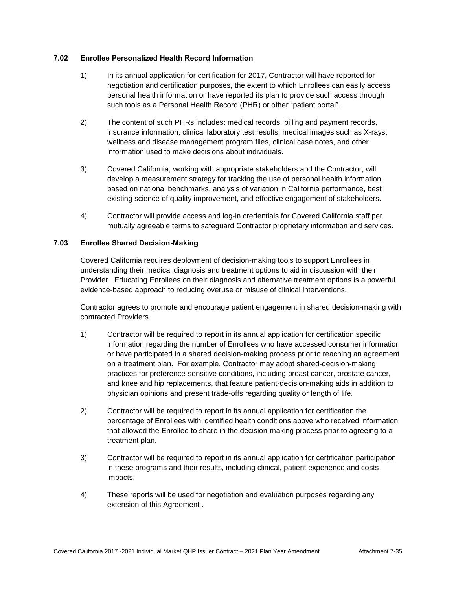## **7.02 Enrollee Personalized Health Record Information**

- 1) In its annual application for certification for 2017, Contractor will have reported for negotiation and certification purposes, the extent to which Enrollees can easily access personal health information or have reported its plan to provide such access through such tools as a Personal Health Record (PHR) or other "patient portal".
- 2) The content of such PHRs includes: medical records, billing and payment records, insurance information, clinical laboratory test results, medical images such as X-rays, wellness and disease management program files, clinical case notes, and other information used to make decisions about individuals.
- 3) Covered California, working with appropriate stakeholders and the Contractor, will develop a measurement strategy for tracking the use of personal health information based on national benchmarks, analysis of variation in California performance, best existing science of quality improvement, and effective engagement of stakeholders.
- 4) Contractor will provide access and log-in credentials for Covered California staff per mutually agreeable terms to safeguard Contractor proprietary information and services.

## **7.03 Enrollee Shared Decision-Making**

Covered California requires deployment of decision-making tools to support Enrollees in understanding their medical diagnosis and treatment options to aid in discussion with their Provider. Educating Enrollees on their diagnosis and alternative treatment options is a powerful evidence-based approach to reducing overuse or misuse of clinical interventions.

Contractor agrees to promote and encourage patient engagement in shared decision-making with contracted Providers.

- 1) Contractor will be required to report in its annual application for certification specific information regarding the number of Enrollees who have accessed consumer information or have participated in a shared decision-making process prior to reaching an agreement on a treatment plan. For example, Contractor may adopt shared-decision-making practices for preference-sensitive conditions, including breast cancer, prostate cancer, and knee and hip replacements, that feature patient-decision-making aids in addition to physician opinions and present trade-offs regarding quality or length of life.
- 2) Contractor will be required to report in its annual application for certification the percentage of Enrollees with identified health conditions above who received information that allowed the Enrollee to share in the decision-making process prior to agreeing to a treatment plan.
- 3) Contractor will be required to report in its annual application for certification participation in these programs and their results, including clinical, patient experience and costs impacts.
- 4) These reports will be used for negotiation and evaluation purposes regarding any extension of this Agreement .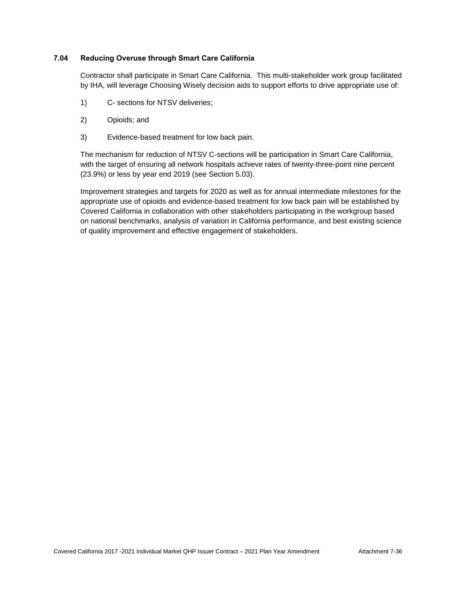## **7.04 Reducing Overuse through Smart Care California**

Contractor shall participate in Smart Care California. This multi-stakeholder work group facilitated by IHA, will leverage Choosing Wisely decision aids to support efforts to drive appropriate use of:

- 1) C- sections for NTSV deliveries;
- 2) Opioids; and
- 3) Evidence-based treatment for low back pain.

The mechanism for reduction of NTSV C-sections will be participation in Smart Care California, with the target of ensuring all network hospitals achieve rates of twenty-three-point nine percent (23.9%) or less by year end 2019 (see Section 5.03).

Improvement strategies and targets for 2020 as well as for annual intermediate milestones for the appropriate use of opioids and evidence-based treatment for low back pain will be established by Covered California in collaboration with other stakeholders participating in the workgroup based on national benchmarks, analysis of variation in California performance, and best existing science of quality improvement and effective engagement of stakeholders.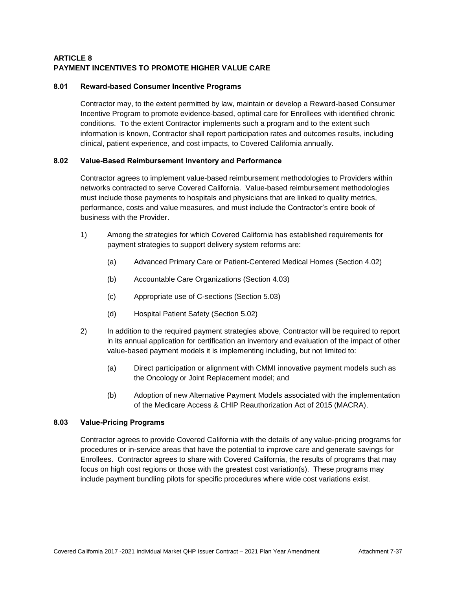# **ARTICLE 8 PAYMENT INCENTIVES TO PROMOTE HIGHER VALUE CARE**

## **8.01 Reward-based Consumer Incentive Programs**

Contractor may, to the extent permitted by law, maintain or develop a Reward-based Consumer Incentive Program to promote evidence-based, optimal care for Enrollees with identified chronic conditions. To the extent Contractor implements such a program and to the extent such information is known, Contractor shall report participation rates and outcomes results, including clinical, patient experience, and cost impacts, to Covered California annually.

## **8.02 Value-Based Reimbursement Inventory and Performance**

Contractor agrees to implement value-based reimbursement methodologies to Providers within networks contracted to serve Covered California. Value-based reimbursement methodologies must include those payments to hospitals and physicians that are linked to quality metrics, performance, costs and value measures, and must include the Contractor's entire book of business with the Provider.

- 1) Among the strategies for which Covered California has established requirements for payment strategies to support delivery system reforms are:
	- (a) Advanced Primary Care or Patient-Centered Medical Homes (Section 4.02)
	- (b) Accountable Care Organizations (Section 4.03)
	- (c) Appropriate use of C-sections (Section 5.03)
	- (d) Hospital Patient Safety (Section 5.02)
- 2) In addition to the required payment strategies above, Contractor will be required to report in its annual application for certification an inventory and evaluation of the impact of other value-based payment models it is implementing including, but not limited to:
	- (a) Direct participation or alignment with CMMI innovative payment models such as the Oncology or Joint Replacement model; and
	- (b) Adoption of new Alternative Payment Models associated with the implementation of the Medicare Access & [CHIP](http://www.insurekidsnow.gov/chip/index.html) Reauthorization Act of 2015 (MACRA).

## **8.03 Value-Pricing Programs**

Contractor agrees to provide Covered California with the details of any value-pricing programs for procedures or in-service areas that have the potential to improve care and generate savings for Enrollees. Contractor agrees to share with Covered California, the results of programs that may focus on high cost regions or those with the greatest cost variation(s). These programs may include payment bundling pilots for specific procedures where wide cost variations exist.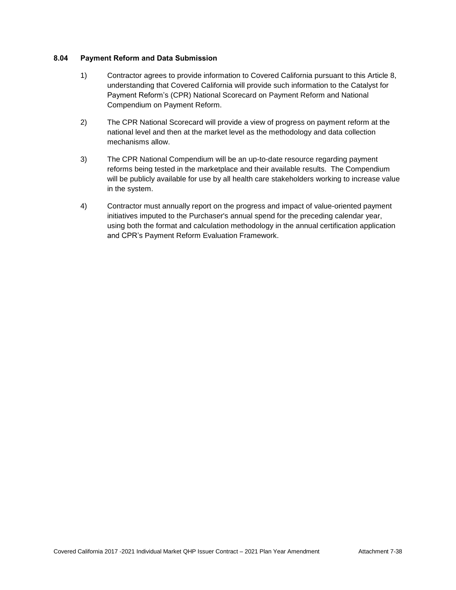## **8.04 Payment Reform and Data Submission**

- 1) Contractor agrees to provide information to Covered California pursuant to this Article 8, understanding that Covered California will provide such information to the Catalyst for Payment Reform's (CPR) National Scorecard on Payment Reform and National Compendium on Payment Reform.
- 2) The CPR National Scorecard will provide a view of progress on payment reform at the national level and then at the market level as the methodology and data collection mechanisms allow.
- 3) The CPR National Compendium will be an up-to-date resource regarding payment reforms being tested in the marketplace and their available results. The Compendium will be publicly available for use by all health care stakeholders working to increase value in the system.
- 4) Contractor must annually report on the progress and impact of value-oriented payment initiatives imputed to the Purchaser's annual spend for the preceding calendar year, using both the format and calculation methodology in the annual certification application and CPR's Payment Reform Evaluation Framework.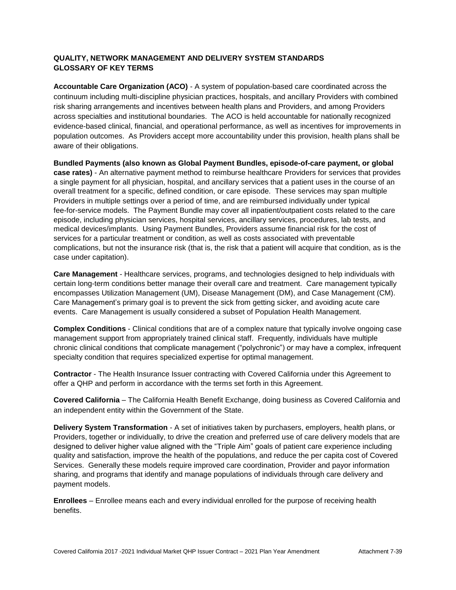# **QUALITY, NETWORK MANAGEMENT AND DELIVERY SYSTEM STANDARDS GLOSSARY OF KEY TERMS**

**Accountable Care Organization (ACO)** - A system of population-based care coordinated across the continuum including multi-discipline physician practices, hospitals, and ancillary Providers with combined risk sharing arrangements and incentives between health plans and Providers, and among Providers across specialties and institutional boundaries. The ACO is held accountable for nationally recognized evidence-based clinical, financial, and operational performance, as well as incentives for improvements in population outcomes. As Providers accept more accountability under this provision, health plans shall be aware of their obligations.

**Bundled Payments (also known as Global Payment Bundles, episode-of-care payment, or global case rates)** - An alternative payment method to reimburse healthcare Providers for services that provides a single payment for all physician, hospital, and ancillary services that a patient uses in the course of an overall treatment for a specific, defined condition, or care episode. These services may span multiple Providers in multiple settings over a period of time, and are reimbursed individually under typical fee-for-service models. The Payment Bundle may cover all inpatient/outpatient costs related to the care episode, including physician services, hospital services, ancillary services, procedures, lab tests, and medical devices/implants. Using Payment Bundles, Providers assume financial risk for the cost of services for a particular treatment or condition, as well as costs associated with preventable complications, but not the insurance risk (that is, the risk that a patient will acquire that condition, as is the case under capitation).

**Care Management** - Healthcare services, programs, and technologies designed to help individuals with certain long-term conditions better manage their overall care and treatment. Care management typically encompasses Utilization Management (UM), Disease Management (DM), and Case Management (CM). Care Management's primary goal is to prevent the sick from getting sicker, and avoiding acute care events. Care Management is usually considered a subset of Population Health Management.

**Complex Conditions** - Clinical conditions that are of a complex nature that typically involve ongoing case management support from appropriately trained clinical staff. Frequently, individuals have multiple chronic clinical conditions that complicate management ("polychronic") or may have a complex, infrequent specialty condition that requires specialized expertise for optimal management.

**Contractor** - The Health Insurance Issuer contracting with Covered California under this Agreement to offer a QHP and perform in accordance with the terms set forth in this Agreement.

**Covered California** – The California Health Benefit Exchange, doing business as Covered California and an independent entity within the Government of the State.

**Delivery System Transformation** - A set of initiatives taken by purchasers, employers, health plans, or Providers, together or individually, to drive the creation and preferred use of care delivery models that are designed to deliver higher value aligned with the "Triple Aim" goals of patient care experience including quality and satisfaction, improve the health of the populations, and reduce the per capita cost of Covered Services. Generally these models require improved care coordination, Provider and payor information sharing, and programs that identify and manage populations of individuals through care delivery and payment models.

**Enrollees** – Enrollee means each and every individual enrolled for the purpose of receiving health benefits.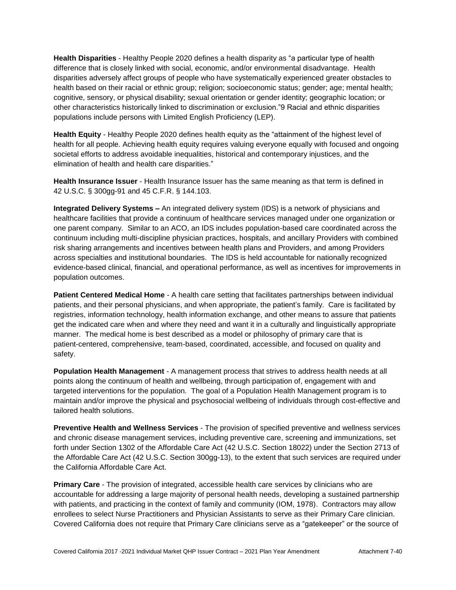**Health Disparities** - Healthy People 2020 defines a health disparity as "a particular type of health difference that is closely linked with social, economic, and/or environmental disadvantage. Health disparities adversely affect groups of people who have systematically experienced greater obstacles to health based on their racial or ethnic group; religion; socioeconomic status; gender; age; mental health; cognitive, sensory, or physical disability; sexual orientation or gender identity; geographic location; or other characteristics historically linked to discrimination or exclusion."9 Racial and ethnic disparities populations include persons with Limited English Proficiency (LEP).

**Health Equity** - Healthy People 2020 defines health equity as the "attainment of the highest level of health for all people. Achieving health equity requires valuing everyone equally with focused and ongoing societal efforts to address avoidable inequalities, historical and contemporary injustices, and the elimination of health and health care disparities."

**Health Insurance Issuer** - Health Insurance Issuer has the same meaning as that term is defined in 42 U.S.C. § 300gg-91 and 45 C.F.R. § 144.103.

**Integrated Delivery Systems –** An integrated delivery system (IDS) is a network of physicians and healthcare facilities that provide a continuum of healthcare services managed under one organization or one parent company. Similar to an ACO, an IDS includes population-based care coordinated across the continuum including multi-discipline physician practices, hospitals, and ancillary Providers with combined risk sharing arrangements and incentives between health plans and Providers, and among Providers across specialties and institutional boundaries. The IDS is held accountable for nationally recognized evidence-based clinical, financial, and operational performance, as well as incentives for improvements in population outcomes.

**Patient Centered Medical Home** - A health care setting that facilitates partnerships between individual patients, and their personal physicians, and when appropriate, the patient's family. Care is facilitated by registries, information technology, health information exchange, and other means to assure that patients get the indicated care when and where they need and want it in a culturally and linguistically appropriate manner. The medical home is best described as a model or philosophy of primary care that is patient-centered, comprehensive, team-based, coordinated, accessible, and focused on quality and safety.

**Population Health Management** - A management process that strives to address health needs at all points along the continuum of health and wellbeing, through participation of, engagement with and targeted interventions for the population. The goal of a Population Health Management program is to maintain and/or improve the physical and psychosocial wellbeing of individuals through cost-effective and tailored health solutions.

**Preventive Health and Wellness Services** - The provision of specified preventive and wellness services and chronic disease management services, including preventive care, screening and immunizations, set forth under Section 1302 of the Affordable Care Act (42 U.S.C. Section 18022) under the Section 2713 of the Affordable Care Act (42 U.S.C. Section 300gg-13), to the extent that such services are required under the California Affordable Care Act.

**Primary Care** - The provision of integrated, accessible health care services by clinicians who are accountable for addressing a large majority of personal health needs, developing a sustained partnership with patients, and practicing in the context of family and community (IOM, 1978). Contractors may allow enrollees to select Nurse Practitioners and Physician Assistants to serve as their Primary Care clinician. Covered California does not require that Primary Care clinicians serve as a "gatekeeper" or the source of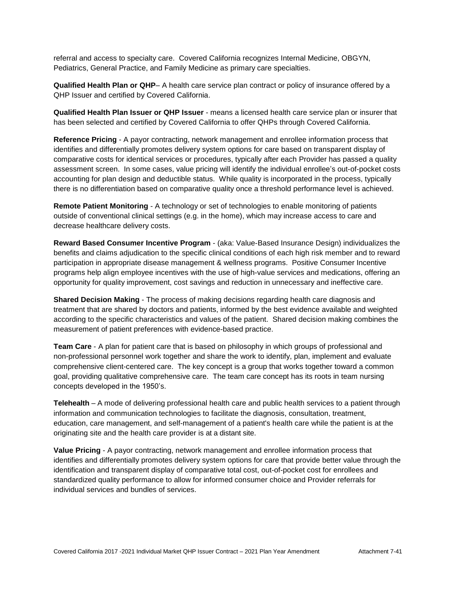referral and access to specialty care. Covered California recognizes Internal Medicine, OBGYN, Pediatrics, General Practice, and Family Medicine as primary care specialties.

**Qualified Health Plan or QHP**– A health care service plan contract or policy of insurance offered by a QHP Issuer and certified by Covered California.

**Qualified Health Plan Issuer or QHP Issuer** - means a licensed health care service plan or insurer that has been selected and certified by Covered California to offer QHPs through Covered California.

**Reference Pricing** - A payor contracting, network management and enrollee information process that identifies and differentially promotes delivery system options for care based on transparent display of comparative costs for identical services or procedures, typically after each Provider has passed a quality assessment screen. In some cases, value pricing will identify the individual enrollee's out-of-pocket costs accounting for plan design and deductible status. While quality is incorporated in the process, typically there is no differentiation based on comparative quality once a threshold performance level is achieved.

**Remote Patient Monitoring** - A technology or set of technologies to enable monitoring of patients outside of conventional clinical settings (e.g. in the home), which may increase access to care and decrease healthcare delivery costs.

**Reward Based Consumer Incentive Program** - (aka: Value-Based Insurance Design) individualizes the benefits and claims adjudication to the specific clinical conditions of each high risk member and to reward participation in appropriate disease management & wellness programs. Positive Consumer Incentive programs help align employee incentives with the use of high-value services and medications, offering an opportunity for quality improvement, cost savings and reduction in unnecessary and ineffective care.

**Shared Decision Making** - The process of making decisions regarding health care diagnosis and treatment that are shared by doctors and patients, informed by the best evidence available and weighted according to the specific characteristics and values of the patient. Shared decision making combines the measurement of patient preferences with evidence-based practice.

**Team Care** - A plan for patient care that is based on philosophy in which groups of professional and non-professional personnel work together and share the work to identify, plan, implement and evaluate comprehensive client-centered care. The key concept is a group that works together toward a common goal, providing qualitative comprehensive care. The team care concept has its roots in team nursing concepts developed in the 1950's.

**Telehealth** – A mode of delivering professional health care and public health services to a patient through information and communication technologies to facilitate the diagnosis, consultation, treatment, education, care management, and self-management of a patient's health care while the patient is at the originating site and the health care provider is at a distant site.

**Value Pricing** - A payor contracting, network management and enrollee information process that identifies and differentially promotes delivery system options for care that provide better value through the identification and transparent display of comparative total cost, out-of-pocket cost for enrollees and standardized quality performance to allow for informed consumer choice and Provider referrals for individual services and bundles of services.